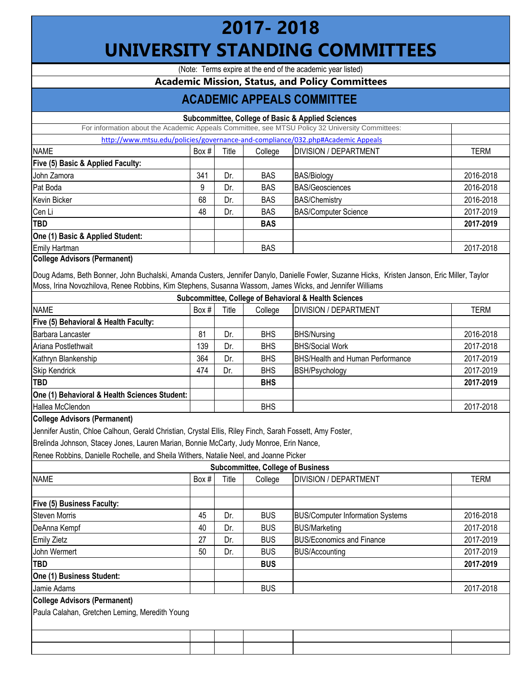## **2017- 2018 UNIVERSITY STANDING COMMITTEES**

(Note: Terms expire at the end of the academic year listed)

## **Academic Mission, Status, and Policy Committees**

## **ACADEMIC APPEALS COMMITTEE**

|                                     |         |       |            | <b>Subcommittee, College of Basic &amp; Applied Sciences</b>                                    |             |
|-------------------------------------|---------|-------|------------|-------------------------------------------------------------------------------------------------|-------------|
|                                     |         |       |            | For information about the Academic Appeals Committee, see MTSU Policy 32 University Committees: |             |
|                                     |         |       |            | http://www.mtsu.edu/policies/governance-and-compliance/032.php#Academic Appeals                 |             |
| <b>NAME</b>                         | Box $#$ | Title | College    | <b>DIVISION / DEPARTMENT</b>                                                                    | <b>TERM</b> |
| Five (5) Basic & Applied Faculty:   |         |       |            |                                                                                                 |             |
| John Zamora                         | 341     | Dr.   | <b>BAS</b> | <b>BAS/Biology</b>                                                                              | 2016-2018   |
| Pat Boda                            | 9       | Dr.   | <b>BAS</b> | <b>BAS/Geosciences</b>                                                                          | 2016-2018   |
| Kevin Bicker                        | 68      | Dr.   | <b>BAS</b> | <b>BAS/Chemistry</b>                                                                            | 2016-2018   |
| Cen Li                              | 48      | Dr.   | <b>BAS</b> | <b>BAS/Computer Science</b>                                                                     | 2017-2019   |
| TBD                                 |         |       | <b>BAS</b> |                                                                                                 | 2017-2019   |
| One (1) Basic & Applied Student:    |         |       |            |                                                                                                 |             |
| Emily Hartman                       |         |       | <b>BAS</b> |                                                                                                 | 2017-2018   |
| <b>College Advisors (Permanent)</b> |         |       |            |                                                                                                 |             |

Doug Adams, Beth Bonner, John Buchalski, Amanda Custers, Jennifer Danylo, Danielle Fowler, Suzanne Hicks, Kristen Janson, Eric Miller, Taylor Moss, Irina Novozhilova, Renee Robbins, Kim Stephens, Susanna Wassom, James Wicks, and Jennifer Williams

|                                               | <b>Subcommittee, College of Behavioral &amp; Health Sciences</b> |       |            |                                         |           |  |  |  |  |  |
|-----------------------------------------------|------------------------------------------------------------------|-------|------------|-----------------------------------------|-----------|--|--|--|--|--|
| <b>NAME</b>                                   | Box $#$                                                          | Title | College    | <b>DIVISION / DEPARTMENT</b>            | TERM      |  |  |  |  |  |
| Five (5) Behavioral & Health Faculty:         |                                                                  |       |            |                                         |           |  |  |  |  |  |
| Barbara Lancaster                             | 81                                                               | Dr.   | <b>BHS</b> | <b>BHS/Nursing</b>                      | 2016-2018 |  |  |  |  |  |
| Ariana Postlethwait                           | 139                                                              | Dr.   | <b>BHS</b> | <b>BHS/Social Work</b>                  | 2017-2018 |  |  |  |  |  |
| Kathryn Blankenship                           | 364                                                              | Dr.   | <b>BHS</b> | <b>BHS/Health and Human Performance</b> | 2017-2019 |  |  |  |  |  |
| <b>Skip Kendrick</b>                          | 474                                                              | Dr.   | <b>BHS</b> | BSH/Psychology                          | 2017-2019 |  |  |  |  |  |
| <b>TBD</b>                                    |                                                                  |       | <b>BHS</b> |                                         | 2017-2019 |  |  |  |  |  |
| One (1) Behavioral & Health Sciences Student: |                                                                  |       |            |                                         |           |  |  |  |  |  |
| Hallea McClendon                              |                                                                  |       | <b>BHS</b> |                                         | 2017-2018 |  |  |  |  |  |

## **College Advisors (Permanent)**

Jennifer Austin, Chloe Calhoun, Gerald Christian, Crystal Ellis, Riley Finch, Sarah Fossett, Amy Foster,

Brelinda Johnson, Stacey Jones, Lauren Marian, Bonnie McCarty, Judy Monroe, Erin Nance,

Renee Robbins, Danielle Rochelle, and Sheila Withers, Natalie Neel, and Joanne Picker

| <b>Subcommittee, College of Business</b>       |       |       |            |                                         |             |  |  |  |  |
|------------------------------------------------|-------|-------|------------|-----------------------------------------|-------------|--|--|--|--|
| <b>NAME</b>                                    | Box # | Title | College    | <b>DIVISION / DEPARTMENT</b>            | <b>TERM</b> |  |  |  |  |
|                                                |       |       |            |                                         |             |  |  |  |  |
| <b>Five (5) Business Faculty:</b>              |       |       |            |                                         |             |  |  |  |  |
| <b>Steven Morris</b>                           | 45    | Dr.   | <b>BUS</b> | <b>BUS/Computer Information Systems</b> | 2016-2018   |  |  |  |  |
| DeAnna Kempf                                   | 40    | Dr.   | <b>BUS</b> | <b>BUS/Marketing</b>                    | 2017-2018   |  |  |  |  |
| <b>Emily Zietz</b>                             | 27    | Dr.   | <b>BUS</b> | <b>BUS/Economics and Finance</b>        | 2017-2019   |  |  |  |  |
| John Wermert                                   | 50    | Dr.   | <b>BUS</b> | <b>BUS/Accounting</b>                   | 2017-2019   |  |  |  |  |
| <b>TBD</b>                                     |       |       | <b>BUS</b> |                                         | 2017-2019   |  |  |  |  |
| One (1) Business Student:                      |       |       |            |                                         |             |  |  |  |  |
| Jamie Adams                                    |       |       | <b>BUS</b> |                                         | 2017-2018   |  |  |  |  |
| <b>College Advisors (Permanent)</b>            |       |       |            |                                         |             |  |  |  |  |
| Paula Calahan, Gretchen Leming, Meredith Young |       |       |            |                                         |             |  |  |  |  |
|                                                |       |       |            |                                         |             |  |  |  |  |
|                                                |       |       |            |                                         |             |  |  |  |  |
|                                                |       |       |            |                                         |             |  |  |  |  |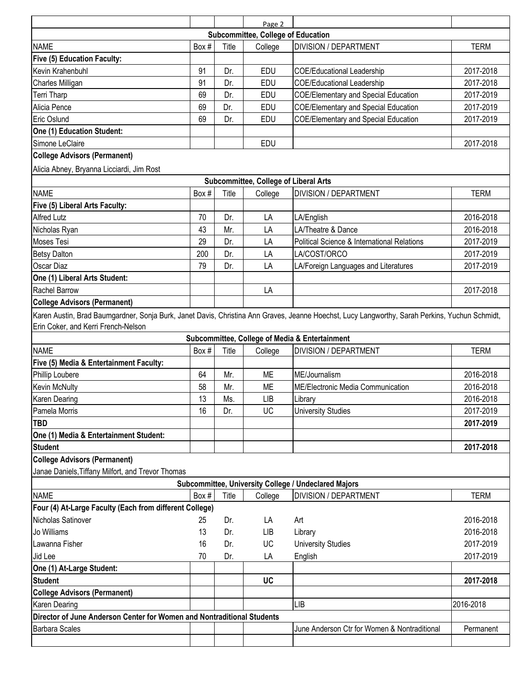|                                                                        |       |       | Page 2                                       |                                                                                                                                                |             |
|------------------------------------------------------------------------|-------|-------|----------------------------------------------|------------------------------------------------------------------------------------------------------------------------------------------------|-------------|
|                                                                        |       |       | <b>Subcommittee, College of Education</b>    |                                                                                                                                                |             |
| <b>NAME</b>                                                            | Box # | Title | College                                      | <b>DIVISION / DEPARTMENT</b>                                                                                                                   | <b>TERM</b> |
| <b>Five (5) Education Faculty:</b>                                     |       |       |                                              |                                                                                                                                                |             |
| Kevin Krahenbuhl                                                       | 91    | Dr.   | EDU                                          | <b>COE/Educational Leadership</b>                                                                                                              | 2017-2018   |
| Charles Milligan                                                       | 91    | Dr.   | EDU                                          | <b>COE/Educational Leadership</b>                                                                                                              | 2017-2018   |
| Terri Tharp                                                            | 69    | Dr.   | <b>EDU</b>                                   | <b>COE/Elementary and Special Education</b>                                                                                                    | 2017-2019   |
| Alicia Pence                                                           | 69    | Dr.   | EDU                                          | <b>COE/Elementary and Special Education</b>                                                                                                    | 2017-2019   |
| Eric Oslund                                                            | 69    | Dr.   | <b>EDU</b>                                   | <b>COE/Elementary and Special Education</b>                                                                                                    | 2017-2019   |
| <b>One (1) Education Student:</b>                                      |       |       |                                              |                                                                                                                                                |             |
| Simone LeClaire                                                        |       |       | <b>EDU</b>                                   |                                                                                                                                                | 2017-2018   |
| <b>College Advisors (Permanent)</b>                                    |       |       |                                              |                                                                                                                                                |             |
| Alicia Abney, Bryanna Licciardi, Jim Rost                              |       |       |                                              |                                                                                                                                                |             |
|                                                                        |       |       | <b>Subcommittee, College of Liberal Arts</b> |                                                                                                                                                |             |
| <b>NAME</b>                                                            | Box # | Title | College                                      | <b>DIVISION / DEPARTMENT</b>                                                                                                                   | <b>TERM</b> |
| Five (5) Liberal Arts Faculty:                                         |       |       |                                              |                                                                                                                                                |             |
| <b>Alfred Lutz</b>                                                     | 70    | Dr.   | LA                                           | LA/English                                                                                                                                     | 2016-2018   |
| Nicholas Ryan                                                          | 43    | Mr.   | LA                                           | LA/Theatre & Dance                                                                                                                             | 2016-2018   |
| <b>Moses Tesi</b>                                                      | 29    | Dr.   | LA                                           | <b>Political Science &amp; International Relations</b>                                                                                         | 2017-2019   |
| <b>Betsy Dalton</b>                                                    | 200   | Dr.   | LA                                           | LA/COST/ORCO                                                                                                                                   | 2017-2019   |
| <b>Oscar Diaz</b>                                                      | 79    | Dr.   | LA                                           | LA/Foreign Languages and Literatures                                                                                                           | 2017-2019   |
| One (1) Liberal Arts Student:                                          |       |       |                                              |                                                                                                                                                |             |
| <b>Rachel Barrow</b>                                                   |       |       | LA                                           |                                                                                                                                                | 2017-2018   |
| <b>College Advisors (Permanent)</b>                                    |       |       |                                              |                                                                                                                                                |             |
| Erin Coker, and Kerri French-Nelson                                    |       |       |                                              | Karen Austin, Brad Baumgardner, Sonja Burk, Janet Davis, Christina Ann Graves, Jeanne Hoechst, Lucy Langworthy, Sarah Perkins, Yuchun Schmidt, |             |
|                                                                        |       |       |                                              | Subcommittee, College of Media & Entertainment                                                                                                 |             |
| <b>NAME</b>                                                            | Box # | Title | College                                      | <b>DIVISION / DEPARTMENT</b>                                                                                                                   | <b>TERM</b> |
| Five (5) Media & Entertainment Faculty:                                |       |       |                                              |                                                                                                                                                |             |
| <b>Phillip Loubere</b>                                                 | 64    | Mr.   | ME                                           | ME/Journalism                                                                                                                                  | 2016-2018   |
| <b>Kevin McNulty</b>                                                   | 58    | Mr.   | ME                                           | <b>ME/Electronic Media Communication</b>                                                                                                       | 2016-2018   |
| <b>Karen Dearing</b>                                                   | 13    | Ms.   | <b>LIB</b>                                   | Library                                                                                                                                        | 2016-2018   |
| Pamela Morris                                                          | 16    | Dr.   | <b>UC</b>                                    | <b>University Studies</b>                                                                                                                      | 2017-2019   |
| <b>TBD</b>                                                             |       |       |                                              |                                                                                                                                                | 2017-2019   |
| One (1) Media & Entertainment Student:                                 |       |       |                                              |                                                                                                                                                |             |
| <b>Student</b>                                                         |       |       |                                              |                                                                                                                                                | 2017-2018   |
| <b>College Advisors (Permanent)</b>                                    |       |       |                                              |                                                                                                                                                |             |
| Janae Daniels, Tiffany Milfort, and Trevor Thomas                      |       |       |                                              |                                                                                                                                                |             |
|                                                                        |       |       |                                              | <b>Subcommittee, University College / Undeclared Majors</b>                                                                                    |             |
| <b>NAME</b>                                                            | Box # | Title | College                                      | <b>DIVISION / DEPARTMENT</b>                                                                                                                   | <b>TERM</b> |
| Four (4) At-Large Faculty (Each from different College)                |       |       |                                              |                                                                                                                                                |             |
| Nicholas Satinover                                                     | 25    | Dr.   | LA                                           | Art                                                                                                                                            | 2016-2018   |
| Jo Williams                                                            | 13    | Dr.   | <b>LIB</b>                                   | Library                                                                                                                                        | 2016-2018   |
| Lawanna Fisher                                                         | 16    | Dr.   | <b>UC</b>                                    | <b>University Studies</b>                                                                                                                      | 2017-2019   |
| Jid Lee                                                                | 70    | Dr.   | LA                                           | English                                                                                                                                        | 2017-2019   |
| One (1) At-Large Student:                                              |       |       |                                              |                                                                                                                                                |             |
| <b>Student</b>                                                         |       |       | <b>UC</b>                                    |                                                                                                                                                | 2017-2018   |
| <b>College Advisors (Permanent)</b>                                    |       |       |                                              |                                                                                                                                                |             |
| <b>Karen Dearing</b>                                                   |       |       |                                              | LIB                                                                                                                                            | 2016-2018   |
| Director of June Anderson Center for Women and Nontraditional Students |       |       |                                              |                                                                                                                                                |             |
| <b>Barbara Scales</b>                                                  |       |       |                                              | June Anderson Ctr for Women & Nontraditional                                                                                                   | Permanent   |
|                                                                        |       |       |                                              |                                                                                                                                                |             |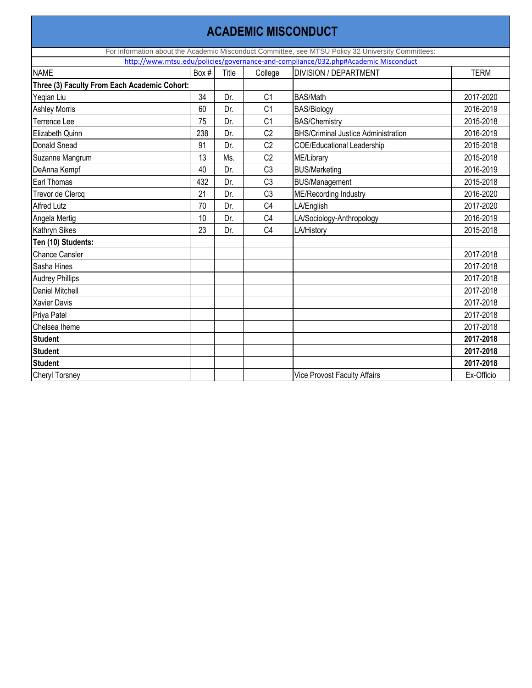|                                              | <b>ACADEMIC MISCONDUCT</b> |       |                |                                                                                                    |             |  |  |  |  |  |  |
|----------------------------------------------|----------------------------|-------|----------------|----------------------------------------------------------------------------------------------------|-------------|--|--|--|--|--|--|
|                                              |                            |       |                | For information about the Academic Misconduct Committee, see MTSU Policy 32 University Committees: |             |  |  |  |  |  |  |
|                                              |                            |       |                | http://www.mtsu.edu/policies/governance-and-compliance/032.php#Academic Misconduct                 |             |  |  |  |  |  |  |
| <b>NAME</b>                                  | Box #                      | Title | College        | <b>DIVISION / DEPARTMENT</b>                                                                       | <b>TERM</b> |  |  |  |  |  |  |
| Three (3) Faculty From Each Academic Cohort: |                            |       |                |                                                                                                    |             |  |  |  |  |  |  |
| Yeqian Liu                                   | 34                         | Dr.   | C <sub>1</sub> | <b>BAS/Math</b>                                                                                    | 2017-2020   |  |  |  |  |  |  |
| <b>Ashley Morris</b>                         | 60                         | Dr.   | C <sub>1</sub> | <b>BAS/Biology</b>                                                                                 | 2016-2019   |  |  |  |  |  |  |
| <b>Terrence Lee</b>                          | 75                         | Dr.   | C <sub>1</sub> | <b>BAS/Chemistry</b>                                                                               | 2015-2018   |  |  |  |  |  |  |
| <b>Elizabeth Quinn</b>                       | 238                        | Dr.   | C <sub>2</sub> | <b>BHS/Criminal Justice Administration</b>                                                         | 2016-2019   |  |  |  |  |  |  |
| <b>Donald Snead</b>                          | 91                         | Dr.   | C <sub>2</sub> | <b>COE/Educational Leadership</b>                                                                  | 2015-2018   |  |  |  |  |  |  |
| Suzanne Mangrum                              | 13                         | Ms.   | C <sub>2</sub> | ME/Library                                                                                         | 2015-2018   |  |  |  |  |  |  |
| DeAnna Kempf                                 | 40                         | Dr.   | C <sub>3</sub> | <b>BUS/Marketing</b>                                                                               | 2016-2019   |  |  |  |  |  |  |
| Earl Thomas                                  | 432                        | Dr.   | C <sub>3</sub> | <b>BUS/Management</b>                                                                              | 2015-2018   |  |  |  |  |  |  |
| Trevor de Clercq                             | 21                         | Dr.   | C <sub>3</sub> | ME/Recording Industry                                                                              | 2016-2020   |  |  |  |  |  |  |
| <b>Alfred Lutz</b>                           | 70                         | Dr.   | C <sub>4</sub> | LA/English                                                                                         | 2017-2020   |  |  |  |  |  |  |
| Angela Mertig                                | 10                         | Dr.   | C <sub>4</sub> | LA/Sociology-Anthropology                                                                          | 2016-2019   |  |  |  |  |  |  |
| <b>Kathryn Sikes</b>                         | 23                         | Dr.   | C <sub>4</sub> | LA/History                                                                                         | 2015-2018   |  |  |  |  |  |  |
| Ten (10) Students:                           |                            |       |                |                                                                                                    |             |  |  |  |  |  |  |
| <b>Chance Cansler</b>                        |                            |       |                |                                                                                                    | 2017-2018   |  |  |  |  |  |  |
| Sasha Hines                                  |                            |       |                |                                                                                                    | 2017-2018   |  |  |  |  |  |  |
| <b>Audrey Phillips</b>                       |                            |       |                |                                                                                                    | 2017-2018   |  |  |  |  |  |  |
| <b>Daniel Mitchell</b>                       |                            |       |                |                                                                                                    | 2017-2018   |  |  |  |  |  |  |
| <b>Xavier Davis</b>                          |                            |       |                |                                                                                                    | 2017-2018   |  |  |  |  |  |  |
| Priya Patel                                  |                            |       |                |                                                                                                    | 2017-2018   |  |  |  |  |  |  |
| Chelsea Iheme                                |                            |       |                |                                                                                                    | 2017-2018   |  |  |  |  |  |  |
| <b>Student</b>                               |                            |       |                |                                                                                                    | 2017-2018   |  |  |  |  |  |  |
| <b>Student</b>                               |                            |       |                |                                                                                                    | 2017-2018   |  |  |  |  |  |  |
| <b>Student</b>                               |                            |       |                |                                                                                                    | 2017-2018   |  |  |  |  |  |  |
| <b>Cheryl Torsney</b>                        |                            |       |                | <b>Vice Provost Faculty Affairs</b>                                                                | Ex-Officio  |  |  |  |  |  |  |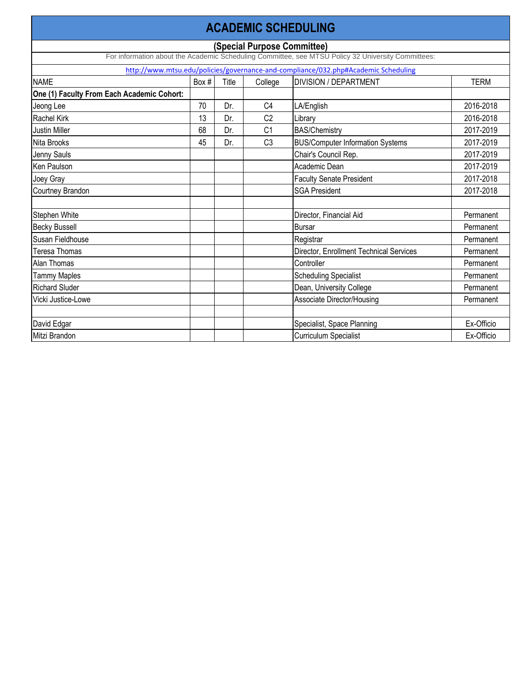|                                            | <b>ACADEMIC SCHEDULING</b>                                                                                                        |       |                |                                                                                    |             |  |  |  |  |  |  |  |
|--------------------------------------------|-----------------------------------------------------------------------------------------------------------------------------------|-------|----------------|------------------------------------------------------------------------------------|-------------|--|--|--|--|--|--|--|
|                                            | (Special Purpose Committee)<br>For information about the Academic Scheduling Committee, see MTSU Policy 32 University Committees: |       |                |                                                                                    |             |  |  |  |  |  |  |  |
|                                            |                                                                                                                                   |       |                |                                                                                    |             |  |  |  |  |  |  |  |
|                                            |                                                                                                                                   |       |                | http://www.mtsu.edu/policies/governance-and-compliance/032.php#Academic Scheduling |             |  |  |  |  |  |  |  |
| <b>NAME</b>                                | Box #                                                                                                                             | Title | College        | <b>DIVISION / DEPARTMENT</b>                                                       | <b>TERM</b> |  |  |  |  |  |  |  |
| One (1) Faculty From Each Academic Cohort: |                                                                                                                                   |       |                |                                                                                    |             |  |  |  |  |  |  |  |
| Jeong Lee                                  | 70                                                                                                                                | Dr.   | C4             | LA/English                                                                         | 2016-2018   |  |  |  |  |  |  |  |
| <b>Rachel Kirk</b>                         | 13                                                                                                                                | Dr.   | C <sub>2</sub> | Library                                                                            | 2016-2018   |  |  |  |  |  |  |  |
| <b>Justin Miller</b>                       | 68                                                                                                                                | Dr.   | C <sub>1</sub> | <b>BAS/Chemistry</b>                                                               | 2017-2019   |  |  |  |  |  |  |  |
| Nita Brooks                                | 45                                                                                                                                | Dr.   | C <sub>3</sub> | <b>BUS/Computer Information Systems</b>                                            | 2017-2019   |  |  |  |  |  |  |  |
| Jenny Sauls                                |                                                                                                                                   |       |                | Chair's Council Rep.                                                               | 2017-2019   |  |  |  |  |  |  |  |
| <b>Ken Paulson</b>                         |                                                                                                                                   |       |                | Academic Dean                                                                      | 2017-2019   |  |  |  |  |  |  |  |
| Joey Gray                                  |                                                                                                                                   |       |                | <b>Faculty Senate President</b>                                                    | 2017-2018   |  |  |  |  |  |  |  |
| <b>Courtney Brandon</b>                    |                                                                                                                                   |       |                | <b>SGA President</b>                                                               | 2017-2018   |  |  |  |  |  |  |  |
|                                            |                                                                                                                                   |       |                |                                                                                    |             |  |  |  |  |  |  |  |
| <b>Stephen White</b>                       |                                                                                                                                   |       |                | Director, Financial Aid                                                            | Permanent   |  |  |  |  |  |  |  |
| <b>Becky Bussell</b>                       |                                                                                                                                   |       |                | <b>Bursar</b>                                                                      | Permanent   |  |  |  |  |  |  |  |
| Susan Fieldhouse                           |                                                                                                                                   |       |                | Registrar                                                                          | Permanent   |  |  |  |  |  |  |  |
| Teresa Thomas                              |                                                                                                                                   |       |                | Director, Enrollment Technical Services                                            | Permanent   |  |  |  |  |  |  |  |
| <b>Alan Thomas</b>                         |                                                                                                                                   |       |                | Controller                                                                         | Permanent   |  |  |  |  |  |  |  |
| <b>Tammy Maples</b>                        |                                                                                                                                   |       |                | <b>Scheduling Specialist</b>                                                       | Permanent   |  |  |  |  |  |  |  |
| <b>Richard Sluder</b>                      |                                                                                                                                   |       |                | Dean, University College                                                           | Permanent   |  |  |  |  |  |  |  |
| Vicki Justice-Lowe                         |                                                                                                                                   |       |                | <b>Associate Director/Housing</b>                                                  | Permanent   |  |  |  |  |  |  |  |
|                                            |                                                                                                                                   |       |                |                                                                                    |             |  |  |  |  |  |  |  |
| David Edgar                                |                                                                                                                                   |       |                | Specialist, Space Planning                                                         | Ex-Officio  |  |  |  |  |  |  |  |
| Mitzi Brandon                              |                                                                                                                                   |       |                | <b>Curriculum Specialist</b>                                                       | Ex-Officio  |  |  |  |  |  |  |  |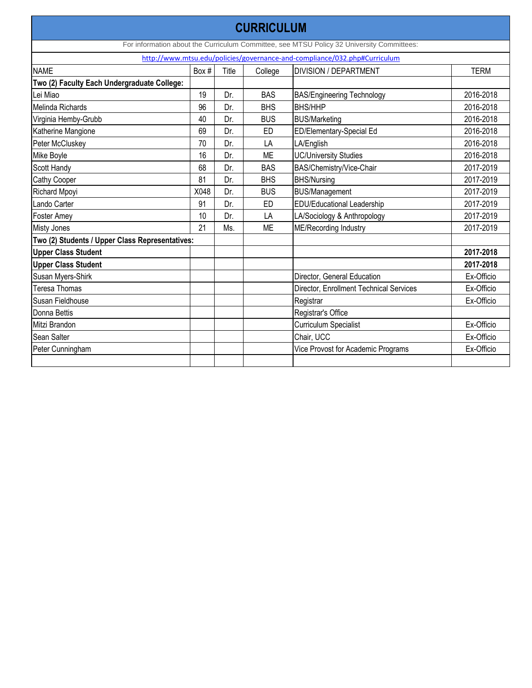|                                                                           |       |       | <b>CURRICULUM</b> |                                                                                           |             |  |  |  |  |  |
|---------------------------------------------------------------------------|-------|-------|-------------------|-------------------------------------------------------------------------------------------|-------------|--|--|--|--|--|
|                                                                           |       |       |                   | For information about the Curriculum Committee, see MTSU Policy 32 University Committees: |             |  |  |  |  |  |
| http://www.mtsu.edu/policies/governance-and-compliance/032.php#Curriculum |       |       |                   |                                                                                           |             |  |  |  |  |  |
| <b>NAME</b>                                                               | Box # | Title | College           | <b>DIVISION / DEPARTMENT</b>                                                              | <b>TERM</b> |  |  |  |  |  |
| Two (2) Faculty Each Undergraduate College:                               |       |       |                   |                                                                                           |             |  |  |  |  |  |
| Lei Miao                                                                  | 19    | Dr.   | <b>BAS</b>        | <b>BAS/Engineering Technology</b>                                                         | 2016-2018   |  |  |  |  |  |
| Melinda Richards                                                          | 96    | Dr.   | <b>BHS</b>        | <b>BHS/HHP</b>                                                                            | 2016-2018   |  |  |  |  |  |
| Virginia Hemby-Grubb                                                      | 40    | Dr.   | <b>BUS</b>        | <b>BUS/Marketing</b>                                                                      | 2016-2018   |  |  |  |  |  |
| Katherine Mangione                                                        | 69    | Dr.   | ED                | ED/Elementary-Special Ed                                                                  | 2016-2018   |  |  |  |  |  |
| Peter McCluskey                                                           | 70    | Dr.   | LA                | LA/English                                                                                | 2016-2018   |  |  |  |  |  |
| Mike Boyle                                                                | 16    | Dr.   | <b>ME</b>         | <b>UC/University Studies</b>                                                              | 2016-2018   |  |  |  |  |  |
| Scott Handy                                                               | 68    | Dr.   | <b>BAS</b>        | BAS/Chemistry/Vice-Chair                                                                  | 2017-2019   |  |  |  |  |  |
| <b>Cathy Cooper</b>                                                       | 81    | Dr.   | <b>BHS</b>        | <b>BHS/Nursing</b>                                                                        | 2017-2019   |  |  |  |  |  |
| <b>Richard Mpoyi</b>                                                      | X048  | Dr.   | <b>BUS</b>        | <b>BUS/Management</b>                                                                     | 2017-2019   |  |  |  |  |  |
| Lando Carter                                                              | 91    | Dr.   | <b>ED</b>         | <b>EDU/Educational Leadership</b>                                                         | 2017-2019   |  |  |  |  |  |
| Foster Amey                                                               | 10    | Dr.   | LA                | LA/Sociology & Anthropology                                                               | 2017-2019   |  |  |  |  |  |
| Misty Jones                                                               | 21    | Ms.   | <b>ME</b>         | <b>ME/Recording Industry</b>                                                              | 2017-2019   |  |  |  |  |  |
| Two (2) Students / Upper Class Representatives:                           |       |       |                   |                                                                                           |             |  |  |  |  |  |
| <b>Upper Class Student</b>                                                |       |       |                   |                                                                                           | 2017-2018   |  |  |  |  |  |
| <b>Upper Class Student</b>                                                |       |       |                   |                                                                                           | 2017-2018   |  |  |  |  |  |
| Susan Myers-Shirk                                                         |       |       |                   | Director, General Education                                                               | Ex-Officio  |  |  |  |  |  |
| <b>Teresa Thomas</b>                                                      |       |       |                   | <b>Director, Enrollment Technical Services</b>                                            | Ex-Officio  |  |  |  |  |  |
| Susan Fieldhouse                                                          |       |       |                   | Registrar                                                                                 | Ex-Officio  |  |  |  |  |  |
| Donna Bettis                                                              |       |       |                   | Registrar's Office                                                                        |             |  |  |  |  |  |
| Mitzi Brandon                                                             |       |       |                   | <b>Curriculum Specialist</b>                                                              | Ex-Officio  |  |  |  |  |  |
| Sean Salter                                                               |       |       |                   | Chair, UCC                                                                                | Ex-Officio  |  |  |  |  |  |
| Peter Cunningham                                                          |       |       |                   | Vice Provost for Academic Programs                                                        | Ex-Officio  |  |  |  |  |  |
|                                                                           |       |       |                   |                                                                                           |             |  |  |  |  |  |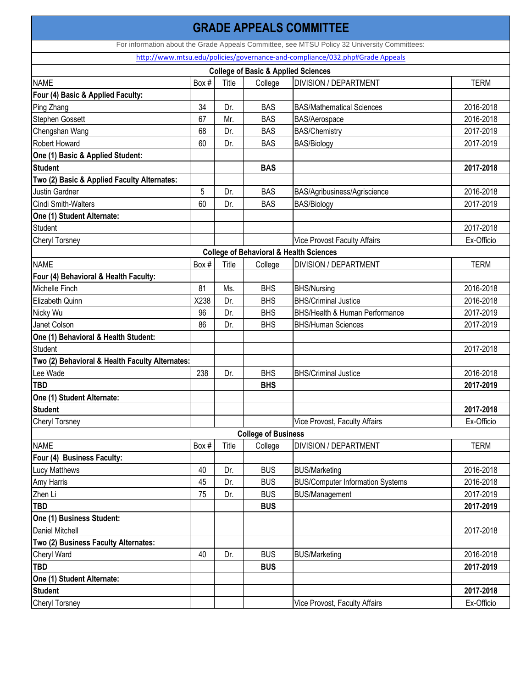|                                                 |       |       |                            | <b>GRADE APPEALS COMMITTEE</b>                                                               |             |
|-------------------------------------------------|-------|-------|----------------------------|----------------------------------------------------------------------------------------------|-------------|
|                                                 |       |       |                            | For information about the Grade Appeals Committee, see MTSU Policy 32 University Committees: |             |
|                                                 |       |       |                            | http://www.mtsu.edu/policies/governance-and-compliance/032.php#Grade Appeals                 |             |
|                                                 |       |       |                            | <b>College of Basic &amp; Applied Sciences</b>                                               |             |
| <b>NAME</b>                                     | Box # | Title | College                    | <b>DIVISION / DEPARTMENT</b>                                                                 | <b>TERM</b> |
| Four (4) Basic & Applied Faculty:               |       |       |                            |                                                                                              |             |
| Ping Zhang                                      | 34    | Dr.   | <b>BAS</b>                 | <b>BAS/Mathematical Sciences</b>                                                             | 2016-2018   |
| <b>Stephen Gossett</b>                          | 67    | Mr.   | <b>BAS</b>                 | <b>BAS/Aerospace</b>                                                                         | 2016-2018   |
| Chengshan Wang                                  | 68    | Dr.   | <b>BAS</b>                 | <b>BAS/Chemistry</b>                                                                         | 2017-2019   |
| <b>Robert Howard</b>                            | 60    | Dr.   | <b>BAS</b>                 | <b>BAS/Biology</b>                                                                           | 2017-2019   |
| One (1) Basic & Applied Student:                |       |       |                            |                                                                                              |             |
| <b>Student</b>                                  |       |       | <b>BAS</b>                 |                                                                                              | 2017-2018   |
| Two (2) Basic & Applied Faculty Alternates:     |       |       |                            |                                                                                              |             |
| <b>Justin Gardner</b>                           | 5     | Dr.   | <b>BAS</b>                 | BAS/Agribusiness/Agriscience                                                                 | 2016-2018   |
| <b>Cindi Smith-Walters</b>                      | 60    | Dr.   | <b>BAS</b>                 | <b>BAS/Biology</b>                                                                           | 2017-2019   |
| One (1) Student Alternate:                      |       |       |                            |                                                                                              |             |
| <b>Student</b>                                  |       |       |                            |                                                                                              | 2017-2018   |
| <b>Cheryl Torsney</b>                           |       |       |                            | <b>Vice Provost Faculty Affairs</b>                                                          | Ex-Officio  |
|                                                 |       |       |                            | <b>College of Behavioral &amp; Health Sciences</b>                                           |             |
| <b>NAME</b>                                     | Box # | Title | College                    | <b>DIVISION / DEPARTMENT</b>                                                                 | <b>TERM</b> |
| Four (4) Behavioral & Health Faculty:           |       |       |                            |                                                                                              |             |
| Michelle Finch                                  | 81    | Ms.   | <b>BHS</b>                 | <b>BHS/Nursing</b>                                                                           | 2016-2018   |
| <b>Elizabeth Quinn</b>                          | X238  | Dr.   | <b>BHS</b>                 | <b>BHS/Criminal Justice</b>                                                                  | 2016-2018   |
| Nicky Wu                                        | 96    | Dr.   | <b>BHS</b>                 | <b>BHS/Health &amp; Human Performance</b>                                                    | 2017-2019   |
| Janet Colson                                    | 86    | Dr.   | <b>BHS</b>                 | <b>BHS/Human Sciences</b>                                                                    | 2017-2019   |
| One (1) Behavioral & Health Student:            |       |       |                            |                                                                                              |             |
| <b>Student</b>                                  |       |       |                            |                                                                                              | 2017-2018   |
| Two (2) Behavioral & Health Faculty Alternates: |       |       |                            |                                                                                              |             |
| Lee Wade                                        | 238   | Dr.   | <b>BHS</b>                 | <b>BHS/Criminal Justice</b>                                                                  | 2016-2018   |
| <b>TBD</b>                                      |       |       | <b>BHS</b>                 |                                                                                              | 2017-2019   |
| One (1) Student Alternate:                      |       |       |                            |                                                                                              |             |
| <b>Student</b>                                  |       |       |                            |                                                                                              | 2017-2018   |
| <b>Cheryl Torsney</b>                           |       |       |                            | <b>Vice Provost, Faculty Affairs</b>                                                         | Ex-Officio  |
|                                                 |       |       | <b>College of Business</b> |                                                                                              |             |
| <b>NAME</b>                                     | Box # | Title | College                    | <b>DIVISION / DEPARTMENT</b>                                                                 | <b>TERM</b> |
| Four (4) Business Faculty:                      |       |       |                            |                                                                                              |             |
| <b>Lucy Matthews</b>                            | 40    | Dr.   | <b>BUS</b>                 | <b>BUS/Marketing</b>                                                                         | 2016-2018   |
| <b>Amy Harris</b>                               | 45    | Dr.   | <b>BUS</b>                 | <b>BUS/Computer Information Systems</b>                                                      | 2016-2018   |
| Zhen Li                                         | 75    | Dr.   | <b>BUS</b>                 | <b>BUS/Management</b>                                                                        | 2017-2019   |
| <b>TBD</b>                                      |       |       | <b>BUS</b>                 |                                                                                              | 2017-2019   |
| One (1) Business Student:                       |       |       |                            |                                                                                              |             |
| <b>Daniel Mitchell</b>                          |       |       |                            |                                                                                              | 2017-2018   |
| Two (2) Business Faculty Alternates:            |       |       |                            |                                                                                              |             |
| Cheryl Ward                                     | 40    | Dr.   | <b>BUS</b>                 | <b>BUS/Marketing</b>                                                                         | 2016-2018   |
| <b>TBD</b>                                      |       |       | <b>BUS</b>                 |                                                                                              | 2017-2019   |
| One (1) Student Alternate:                      |       |       |                            |                                                                                              |             |
| <b>Student</b>                                  |       |       |                            |                                                                                              | 2017-2018   |
| <b>Cheryl Torsney</b>                           |       |       |                            | Vice Provost, Faculty Affairs                                                                | Ex-Officio  |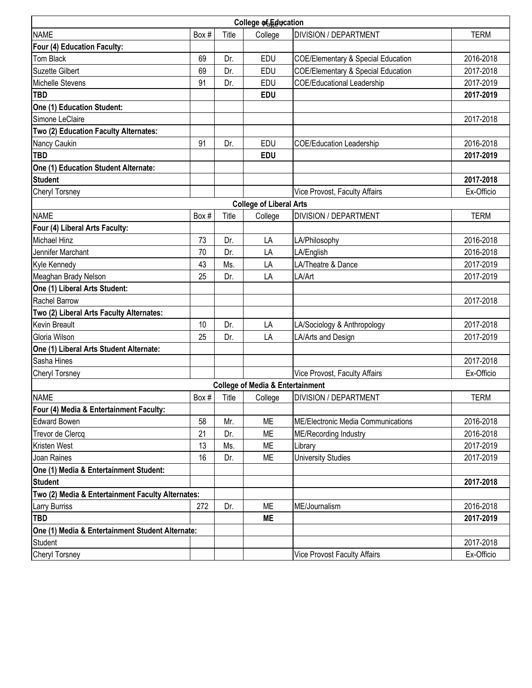|                                                   |       |       | College of Education                        |                                               |             |
|---------------------------------------------------|-------|-------|---------------------------------------------|-----------------------------------------------|-------------|
| <b>NAME</b>                                       | Box # | Title | College                                     | <b>DIVISION / DEPARTMENT</b>                  | <b>TERM</b> |
| Four (4) Education Faculty:                       |       |       |                                             |                                               |             |
| Tom Black                                         | 69    | Dr.   | <b>EDU</b>                                  | <b>COE/Elementary &amp; Special Education</b> | 2016-2018   |
| <b>Suzette Gilbert</b>                            | 69    | Dr.   | EDU                                         | <b>COE/Elementary &amp; Special Education</b> | 2017-2018   |
| <b>Michelle Stevens</b>                           | 91    | Dr.   | EDU                                         | <b>COE/Educational Leadership</b>             | 2017-2019   |
| <b>TBD</b>                                        |       |       | <b>EDU</b>                                  |                                               | 2017-2019   |
| <b>One (1) Education Student:</b>                 |       |       |                                             |                                               |             |
| Simone LeClaire                                   |       |       |                                             |                                               | 2017-2018   |
| Two (2) Education Faculty Alternates:             |       |       |                                             |                                               |             |
| Nancy Caukin                                      | 91    | Dr.   | <b>EDU</b>                                  | <b>COE/Education Leadership</b>               | 2016-2018   |
| <b>TBD</b>                                        |       |       | <b>EDU</b>                                  |                                               | 2017-2019   |
| One (1) Education Student Alternate:              |       |       |                                             |                                               |             |
| <b>Student</b>                                    |       |       |                                             |                                               | 2017-2018   |
| <b>Cheryl Torsney</b>                             |       |       |                                             | <b>Vice Provost, Faculty Affairs</b>          | Ex-Officio  |
|                                                   |       |       | <b>College of Liberal Arts</b>              |                                               |             |
| <b>NAME</b>                                       | Box # | Title | College                                     | <b>DIVISION / DEPARTMENT</b>                  | <b>TERM</b> |
| Four (4) Liberal Arts Faculty:                    |       |       |                                             |                                               |             |
| <b>Michael Hinz</b>                               | 73    | Dr.   | LA                                          | LA/Philosophy                                 | 2016-2018   |
| Jennifer Marchant                                 | 70    | Dr.   | LA                                          | LA/English                                    | 2016-2018   |
| Kyle Kennedy                                      | 43    | Ms.   | LA                                          | LA/Theatre & Dance                            | 2017-2019   |
| Meaghan Brady Nelson                              | 25    | Dr.   | LA                                          | LA/Art                                        | 2017-2019   |
| One (1) Liberal Arts Student:                     |       |       |                                             |                                               |             |
| <b>Rachel Barrow</b>                              |       |       |                                             |                                               | 2017-2018   |
| Two (2) Liberal Arts Faculty Alternates:          |       |       |                                             |                                               |             |
| <b>Kevin Breault</b>                              | 10    | Dr.   | LA                                          | LA/Sociology & Anthropology                   | 2017-2018   |
| Gloria Wilson                                     | 25    | Dr.   | LA                                          | LA/Arts and Design                            | 2017-2019   |
| One (1) Liberal Arts Student Alternate:           |       |       |                                             |                                               |             |
| Sasha Hines                                       |       |       |                                             |                                               | 2017-2018   |
| <b>Cheryl Torsney</b>                             |       |       |                                             | <b>Vice Provost, Faculty Affairs</b>          | Ex-Officio  |
|                                                   |       |       | <b>College of Media &amp; Entertainment</b> |                                               |             |
| <b>NAME</b>                                       | Box#  | Title | College                                     | <b>DIVISION / DEPARTMENT</b>                  | <b>TERM</b> |
| Four (4) Media & Entertainment Faculty:           |       |       |                                             |                                               |             |
| <b>Edward Bowen</b>                               | 58    | Mr.   | <b>ME</b>                                   | <b>ME/Electronic Media Communications</b>     | 2016-2018   |
| Trevor de Clercq                                  | 21    | Dr.   | МE                                          | <b>ME/Recording Industry</b>                  | 2016-2018   |
| <b>Kristen West</b>                               | 13    | Ms.   | МE                                          | Library                                       | 2017-2019   |
| Joan Raines                                       | 16    | Dr.   | ME                                          | <b>University Studies</b>                     | 2017-2019   |
| One (1) Media & Entertainment Student:            |       |       |                                             |                                               |             |
| <b>Student</b>                                    |       |       |                                             |                                               | 2017-2018   |
| Two (2) Media & Entertainment Faculty Alternates: |       |       |                                             |                                               |             |
| <b>Larry Burriss</b>                              | 272   | Dr.   | ME                                          | ME/Journalism                                 | 2016-2018   |
| <b>TBD</b>                                        |       |       | <b>ME</b>                                   |                                               | 2017-2019   |
| One (1) Media & Entertainment Student Alternate:  |       |       |                                             |                                               |             |
| <b>Student</b>                                    |       |       |                                             |                                               | 2017-2018   |
| <b>Cheryl Torsney</b>                             |       |       |                                             | <b>Vice Provost Faculty Affairs</b>           | Ex-Officio  |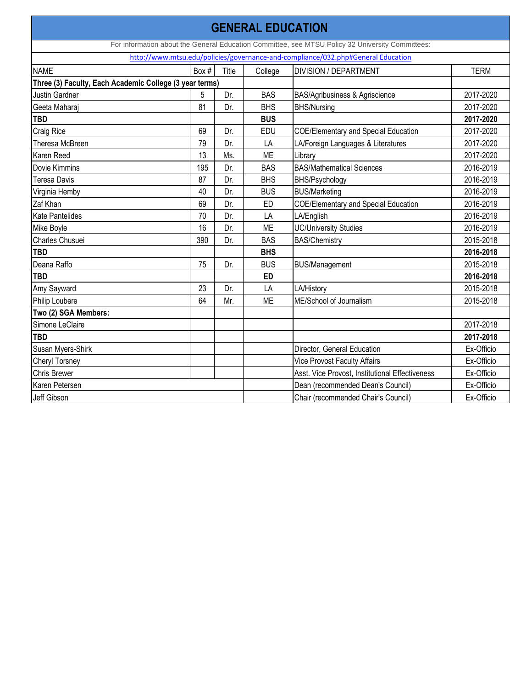|                                                         |       |       | <b>GENERAL EDUCATION</b> |                                                                                                  |            |
|---------------------------------------------------------|-------|-------|--------------------------|--------------------------------------------------------------------------------------------------|------------|
|                                                         |       |       |                          | For information about the General Education Committee, see MTSU Policy 32 University Committees: |            |
|                                                         |       |       |                          | http://www.mtsu.edu/policies/governance-and-compliance/032.php#General Education                 |            |
| <b>NAME</b>                                             | Box # | Title | College                  | <b>DIVISION / DEPARTMENT</b>                                                                     | TERM       |
| Three (3) Faculty, Each Academic College (3 year terms) |       |       |                          |                                                                                                  |            |
| <b>Justin Gardner</b>                                   | 5     | Dr.   | <b>BAS</b>               | <b>BAS/Agribusiness &amp; Agriscience</b>                                                        | 2017-2020  |
| Geeta Maharaj                                           | 81    | Dr.   | <b>BHS</b>               | <b>BHS/Nursing</b>                                                                               | 2017-2020  |
| <b>TBD</b>                                              |       |       | <b>BUS</b>               |                                                                                                  | 2017-2020  |
| Craig Rice                                              | 69    | Dr.   | <b>EDU</b>               | <b>COE/Elementary and Special Education</b>                                                      | 2017-2020  |
| Theresa McBreen                                         | 79    | Dr.   | LA                       | LA/Foreign Languages & Literatures                                                               | 2017-2020  |
| <b>Karen Reed</b>                                       | 13    | Ms.   | ME                       | Library                                                                                          | 2017-2020  |
| <b>Dovie Kimmins</b>                                    | 195   | Dr.   | <b>BAS</b>               | <b>BAS/Mathematical Sciences</b>                                                                 | 2016-2019  |
| <b>Teresa Davis</b>                                     | 87    | Dr.   | <b>BHS</b>               | BHS/Psychology                                                                                   | 2016-2019  |
| Virginia Hemby                                          | 40    | Dr.   | <b>BUS</b>               | <b>BUS/Marketing</b>                                                                             | 2016-2019  |
| Zaf Khan                                                | 69    | Dr.   | ED                       | <b>COE/Elementary and Special Education</b>                                                      | 2016-2019  |
| <b>Kate Pantelides</b>                                  | 70    | Dr.   | LA                       | LA/English                                                                                       | 2016-2019  |
| Mike Boyle                                              | 16    | Dr.   | ME                       | <b>UC/University Studies</b>                                                                     | 2016-2019  |
| Charles Chusuei                                         | 390   | Dr.   | <b>BAS</b>               | <b>BAS/Chemistry</b>                                                                             | 2015-2018  |
| <b>TBD</b>                                              |       |       | <b>BHS</b>               |                                                                                                  | 2016-2018  |
| Deana Raffo                                             | 75    | Dr.   | <b>BUS</b>               | <b>BUS/Management</b>                                                                            | 2015-2018  |
| <b>TBD</b>                                              |       |       | <b>ED</b>                |                                                                                                  | 2016-2018  |
| Amy Sayward                                             | 23    | Dr.   | LA                       | LA/History                                                                                       | 2015-2018  |
| <b>Philip Loubere</b>                                   | 64    | Mr.   | ME                       | ME/School of Journalism                                                                          | 2015-2018  |
| Two (2) SGA Members:                                    |       |       |                          |                                                                                                  |            |
| Simone LeClaire                                         |       |       |                          |                                                                                                  | 2017-2018  |
| <b>TBD</b>                                              |       |       |                          |                                                                                                  | 2017-2018  |
| <b>Susan Myers-Shirk</b>                                |       |       |                          | Director, General Education                                                                      | Ex-Officio |
| <b>Cheryl Torsney</b>                                   |       |       |                          | <b>Vice Provost Faculty Affairs</b>                                                              | Ex-Officio |
| <b>Chris Brewer</b>                                     |       |       |                          | Asst. Vice Provost, Institutional Effectiveness                                                  | Ex-Officio |
| Karen Petersen                                          |       |       |                          | Dean (recommended Dean's Council)                                                                | Ex-Officio |
| Jeff Gibson                                             |       |       |                          | Chair (recommended Chair's Council)                                                              | Ex-Officio |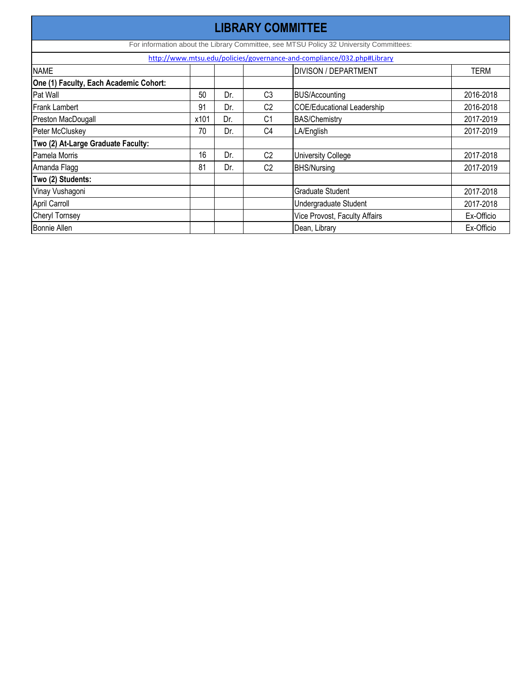| <b>LIBRARY COMMITTEE</b>                                               |      |     |                |                                                                                        |            |  |  |  |  |
|------------------------------------------------------------------------|------|-----|----------------|----------------------------------------------------------------------------------------|------------|--|--|--|--|
|                                                                        |      |     |                | For information about the Library Committee, see MTSU Policy 32 University Committees: |            |  |  |  |  |
| http://www.mtsu.edu/policies/governance-and-compliance/032.php#Library |      |     |                |                                                                                        |            |  |  |  |  |
| <b>NAME</b>                                                            |      |     |                | <b>DIVISON / DEPARTMENT</b>                                                            | TERM       |  |  |  |  |
| One (1) Faculty, Each Academic Cohort:                                 |      |     |                |                                                                                        |            |  |  |  |  |
| Pat Wall                                                               | 50   | Dr. | C <sub>3</sub> | <b>BUS/Accounting</b>                                                                  | 2016-2018  |  |  |  |  |
| <b>Frank Lambert</b>                                                   | 91   | Dr. | C <sub>2</sub> | <b>COE/Educational Leadership</b>                                                      | 2016-2018  |  |  |  |  |
| Preston MacDougall                                                     | x101 | Dr. | C <sub>1</sub> | <b>BAS/Chemistry</b>                                                                   | 2017-2019  |  |  |  |  |
| Peter McCluskey                                                        | 70   | Dr. | C <sub>4</sub> | LA/English                                                                             | 2017-2019  |  |  |  |  |
| Two (2) At-Large Graduate Faculty:                                     |      |     |                |                                                                                        |            |  |  |  |  |
| Pamela Morris                                                          | 16   | Dr. | C <sub>2</sub> | <b>University College</b>                                                              | 2017-2018  |  |  |  |  |
| Amanda Flagg                                                           | 81   | Dr. | C <sub>2</sub> | <b>BHS/Nursing</b>                                                                     | 2017-2019  |  |  |  |  |
| Two (2) Students:                                                      |      |     |                |                                                                                        |            |  |  |  |  |
| Vinay Vushagoni                                                        |      |     |                | <b>Graduate Student</b>                                                                | 2017-2018  |  |  |  |  |
| April Carroll                                                          |      |     |                | <b>Undergraduate Student</b>                                                           | 2017-2018  |  |  |  |  |
| <b>Cheryl Tornsey</b>                                                  |      |     |                | <b>Vice Provost, Faculty Affairs</b>                                                   | Ex-Officio |  |  |  |  |
| <b>Bonnie Allen</b>                                                    |      |     |                | Dean, Library                                                                          | Ex-Officio |  |  |  |  |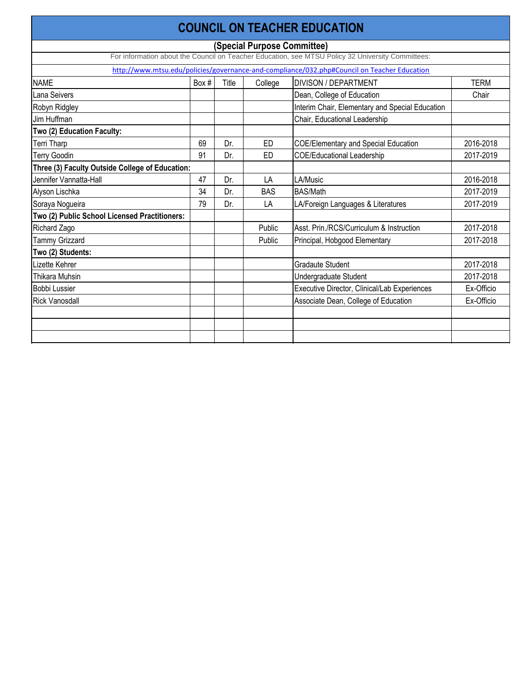|                                                 |       |       |                             | <b>COUNCIL ON TEACHER EDUCATION</b>                                                               |             |
|-------------------------------------------------|-------|-------|-----------------------------|---------------------------------------------------------------------------------------------------|-------------|
|                                                 |       |       | (Special Purpose Committee) |                                                                                                   |             |
|                                                 |       |       |                             | For information about the Council on Teacher Education, see MTSU Policy 32 University Committees: |             |
|                                                 |       |       |                             | http://www.mtsu.edu/policies/governance-and-compliance/032.php#Council on Teacher Education       |             |
| <b>NAME</b>                                     | Box # | Title | College                     | <b>DIVISON / DEPARTMENT</b>                                                                       | <b>TERM</b> |
| Lana Seivers                                    |       |       |                             | Dean, College of Education                                                                        | Chair       |
| Robyn Ridgley                                   |       |       |                             | Interim Chair, Elementary and Special Education                                                   |             |
| Jim Huffman                                     |       |       |                             | Chair, Educational Leadership                                                                     |             |
| Two (2) Education Faculty:                      |       |       |                             |                                                                                                   |             |
| Terri Tharp                                     | 69    | Dr.   | <b>ED</b>                   | <b>COE/Elementary and Special Education</b>                                                       | 2016-2018   |
| <b>Terry Goodin</b>                             | 91    | Dr.   | <b>ED</b>                   | <b>COE/Educational Leadership</b>                                                                 | 2017-2019   |
| Three (3) Faculty Outside College of Education: |       |       |                             |                                                                                                   |             |
| Jennifer Vannatta-Hall                          | 47    | Dr.   | LA                          | LA/Music                                                                                          | 2016-2018   |
| Alyson Lischka                                  | 34    | Dr.   | <b>BAS</b>                  | <b>BAS/Math</b>                                                                                   | 2017-2019   |
| Soraya Nogueira                                 | 79    | Dr.   | LA                          | LA/Foreign Languages & Literatures                                                                | 2017-2019   |
| Two (2) Public School Licensed Practitioners:   |       |       |                             |                                                                                                   |             |
| <b>Richard Zago</b>                             |       |       | Public                      | Asst. Prin./RCS/Curriculum & Instruction                                                          | 2017-2018   |
| <b>Tammy Grizzard</b>                           |       |       | Public                      | Principal, Hobgood Elementary                                                                     | 2017-2018   |
| Two (2) Students:                               |       |       |                             |                                                                                                   |             |
| Lizette Kehrer                                  |       |       |                             | <b>Gradaute Student</b>                                                                           | 2017-2018   |
| <b>Thikara Muhsin</b>                           |       |       |                             | Undergraduate Student                                                                             | 2017-2018   |
| <b>Bobbi Lussier</b>                            |       |       |                             | Executive Director, Clinical/Lab Experiences                                                      | Ex-Officio  |
| <b>Rick Vanosdall</b>                           |       |       |                             | Associate Dean, College of Education                                                              | Ex-Officio  |
|                                                 |       |       |                             |                                                                                                   |             |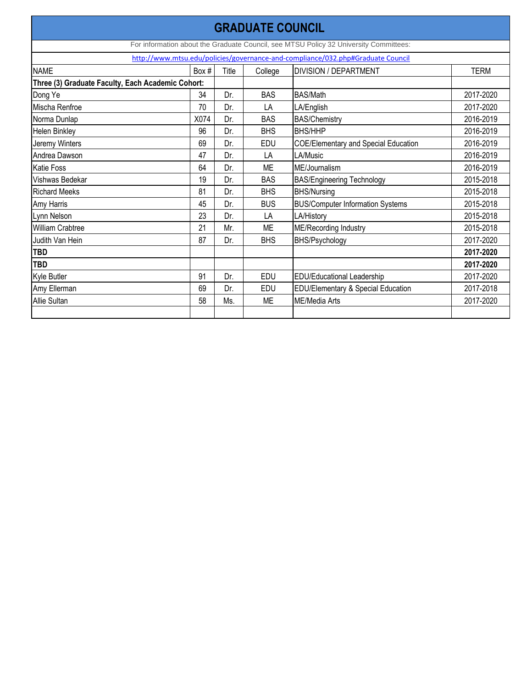| <b>GRADUATE COUNCIL</b>                                                         |      |       |            |                                                                                       |             |  |  |  |  |  |  |
|---------------------------------------------------------------------------------|------|-------|------------|---------------------------------------------------------------------------------------|-------------|--|--|--|--|--|--|
|                                                                                 |      |       |            | For information about the Graduate Council, see MTSU Policy 32 University Committees: |             |  |  |  |  |  |  |
| http://www.mtsu.edu/policies/governance-and-compliance/032.php#Graduate Council |      |       |            |                                                                                       |             |  |  |  |  |  |  |
| <b>NAME</b>                                                                     | Box# | Title | College    | <b>DIVISION / DEPARTMENT</b>                                                          | <b>TERM</b> |  |  |  |  |  |  |
| Three (3) Graduate Faculty, Each Academic Cohort:                               |      |       |            |                                                                                       |             |  |  |  |  |  |  |
| Dong Ye                                                                         | 34   | Dr.   | <b>BAS</b> | <b>BAS/Math</b>                                                                       | 2017-2020   |  |  |  |  |  |  |
| Mischa Renfroe                                                                  | 70   | Dr.   | LA         | LA/English                                                                            | 2017-2020   |  |  |  |  |  |  |
| Norma Dunlap                                                                    | X074 | Dr.   | <b>BAS</b> | <b>BAS/Chemistry</b>                                                                  | 2016-2019   |  |  |  |  |  |  |
| <b>Helen Binkley</b>                                                            | 96   | Dr.   | <b>BHS</b> | <b>BHS/HHP</b>                                                                        | 2016-2019   |  |  |  |  |  |  |
| Jeremy Winters                                                                  | 69   | Dr.   | EDU        | <b>COE/Elementary and Special Education</b>                                           | 2016-2019   |  |  |  |  |  |  |
| Andrea Dawson                                                                   | 47   | Dr.   | LA         | LA/Music                                                                              | 2016-2019   |  |  |  |  |  |  |
| <b>Katie Foss</b>                                                               | 64   | Dr.   | <b>ME</b>  | ME/Journalism                                                                         | 2016-2019   |  |  |  |  |  |  |
| Vishwas Bedekar                                                                 | 19   | Dr.   | <b>BAS</b> | <b>BAS/Engineering Technology</b>                                                     | 2015-2018   |  |  |  |  |  |  |
| <b>Richard Meeks</b>                                                            | 81   | Dr.   | <b>BHS</b> | <b>BHS/Nursing</b>                                                                    | 2015-2018   |  |  |  |  |  |  |
| Amy Harris                                                                      | 45   | Dr.   | <b>BUS</b> | <b>BUS/Computer Information Systems</b>                                               | 2015-2018   |  |  |  |  |  |  |
| Lynn Nelson                                                                     | 23   | Dr.   | LA         | LA/History                                                                            | 2015-2018   |  |  |  |  |  |  |
| William Crabtree                                                                | 21   | Mr.   | <b>ME</b>  | <b>ME/Recording Industry</b>                                                          | 2015-2018   |  |  |  |  |  |  |
| Judith Van Hein                                                                 | 87   | Dr.   | <b>BHS</b> | BHS/Psychology                                                                        | 2017-2020   |  |  |  |  |  |  |
| <b>TBD</b>                                                                      |      |       |            |                                                                                       | 2017-2020   |  |  |  |  |  |  |
| <b>TBD</b>                                                                      |      |       |            |                                                                                       | 2017-2020   |  |  |  |  |  |  |
| Kyle Butler                                                                     | 91   | Dr.   | <b>EDU</b> | <b>EDU/Educational Leadership</b>                                                     | 2017-2020   |  |  |  |  |  |  |
| Amy Ellerman                                                                    | 69   | Dr.   | EDU        | <b>EDU/Elementary &amp; Special Education</b>                                         | 2017-2018   |  |  |  |  |  |  |
| <b>Allie Sultan</b>                                                             | 58   | Ms.   | <b>ME</b>  | ME/Media Arts                                                                         | 2017-2020   |  |  |  |  |  |  |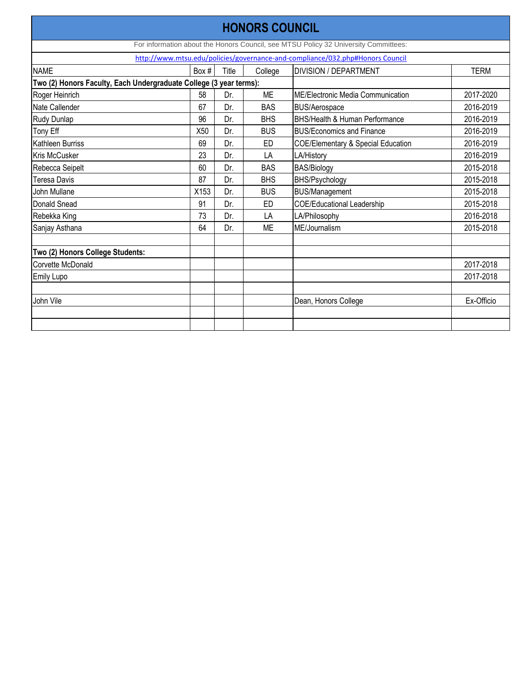|                                                                    |       |       | <b>HONORS COUNCIL</b> |                                                                                     |             |
|--------------------------------------------------------------------|-------|-------|-----------------------|-------------------------------------------------------------------------------------|-------------|
|                                                                    |       |       |                       | For information about the Honors Council, see MTSU Policy 32 University Committees: |             |
|                                                                    |       |       |                       | http://www.mtsu.edu/policies/governance-and-compliance/032.php#Honors Council       |             |
| <b>NAME</b>                                                        | Box # | Title | College               | <b>DIVISION / DEPARTMENT</b>                                                        | <b>TERM</b> |
| Two (2) Honors Faculty, Each Undergraduate College (3 year terms): |       |       |                       |                                                                                     |             |
| Roger Heinrich                                                     | 58    | Dr.   | <b>ME</b>             | <b>IME/Electronic Media Communication</b>                                           | 2017-2020   |
| Nate Callender                                                     | 67    | Dr.   | <b>BAS</b>            | <b>BUS/Aerospace</b>                                                                | 2016-2019   |
| <b>Rudy Dunlap</b>                                                 | 96    | Dr.   | <b>BHS</b>            | BHS/Health & Human Performance                                                      | 2016-2019   |
| Tony Eff                                                           | X50   | Dr.   | <b>BUS</b>            | <b>BUS/Economics and Finance</b>                                                    | 2016-2019   |
| Kathleen Burriss                                                   | 69    | Dr.   | <b>ED</b>             | <b>COE/Elementary &amp; Special Education</b>                                       | 2016-2019   |
| <b>Kris McCusker</b>                                               | 23    | Dr.   | LA                    | LA/History                                                                          | 2016-2019   |
| Rebecca Seipelt                                                    | 60    | Dr.   | <b>BAS</b>            | <b>BAS/Biology</b>                                                                  | 2015-2018   |
| <b>Teresa Davis</b>                                                | 87    | Dr.   | <b>BHS</b>            | <b>BHS/Psychology</b>                                                               | 2015-2018   |
| John Mullane                                                       | X153  | Dr.   | <b>BUS</b>            | <b>BUS/Management</b>                                                               | 2015-2018   |
| Donald Snead                                                       | 91    | Dr.   | <b>ED</b>             | <b>COE/Educational Leadership</b>                                                   | 2015-2018   |
| Rebekka King                                                       | 73    | Dr.   | LA                    | LA/Philosophy                                                                       | 2016-2018   |
| Sanjay Asthana                                                     | 64    | Dr.   | <b>ME</b>             | ME/Journalism                                                                       | 2015-2018   |
| Two (2) Honors College Students:                                   |       |       |                       |                                                                                     |             |
| Corvette McDonald                                                  |       |       |                       |                                                                                     | 2017-2018   |
| <b>Emily Lupo</b>                                                  |       |       |                       |                                                                                     | 2017-2018   |
| John Vile                                                          |       |       |                       | Dean, Honors College                                                                | Ex-Officio  |
|                                                                    |       |       |                       |                                                                                     |             |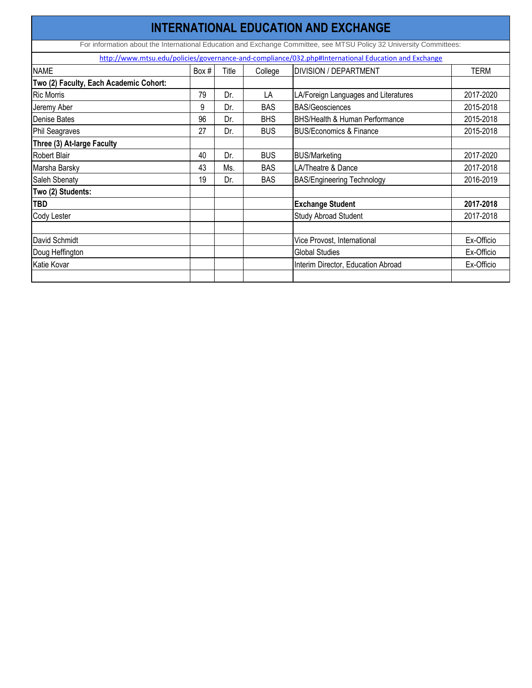| <b>INTERNATIONAL EDUCATION AND EXCHANGE</b>                                                         |       |       |            |                                                                                                                     |            |  |  |  |  |
|-----------------------------------------------------------------------------------------------------|-------|-------|------------|---------------------------------------------------------------------------------------------------------------------|------------|--|--|--|--|
|                                                                                                     |       |       |            | For information about the International Education and Exchange Committee, see MTSU Policy 32 University Committees: |            |  |  |  |  |
| http://www.mtsu.edu/policies/governance-and-compliance/032.php#International Education and Exchange |       |       |            |                                                                                                                     |            |  |  |  |  |
| <b>NAME</b>                                                                                         | Box # | Title | College    | <b>DIVISION / DEPARTMENT</b>                                                                                        | TERM       |  |  |  |  |
| Two (2) Faculty, Each Academic Cohort:                                                              |       |       |            |                                                                                                                     |            |  |  |  |  |
| <b>Ric Morris</b>                                                                                   | 79    | Dr.   | LA         | LA/Foreign Languages and Literatures                                                                                | 2017-2020  |  |  |  |  |
| Jeremy Aber                                                                                         | 9     | Dr.   | <b>BAS</b> | <b>BAS/Geosciences</b>                                                                                              | 2015-2018  |  |  |  |  |
| <b>Denise Bates</b>                                                                                 | 96    | Dr.   | <b>BHS</b> | <b>BHS/Health &amp; Human Performance</b>                                                                           | 2015-2018  |  |  |  |  |
| Phil Seagraves                                                                                      | 27    | Dr.   | <b>BUS</b> | <b>BUS/Economics &amp; Finance</b>                                                                                  | 2015-2018  |  |  |  |  |
| Three (3) At-large Faculty                                                                          |       |       |            |                                                                                                                     |            |  |  |  |  |
| <b>Robert Blair</b>                                                                                 | 40    | Dr.   | <b>BUS</b> | <b>BUS/Marketing</b>                                                                                                | 2017-2020  |  |  |  |  |
| Marsha Barsky                                                                                       | 43    | Ms.   | <b>BAS</b> | LA/Theatre & Dance                                                                                                  | 2017-2018  |  |  |  |  |
| Saleh Sbenaty                                                                                       | 19    | Dr.   | <b>BAS</b> | <b>BAS/Engineering Technology</b>                                                                                   | 2016-2019  |  |  |  |  |
| Two (2) Students:                                                                                   |       |       |            |                                                                                                                     |            |  |  |  |  |
| <b>TBD</b>                                                                                          |       |       |            | <b>Exchange Student</b>                                                                                             | 2017-2018  |  |  |  |  |
| <b>Cody Lester</b>                                                                                  |       |       |            | <b>Study Abroad Student</b>                                                                                         | 2017-2018  |  |  |  |  |
|                                                                                                     |       |       |            |                                                                                                                     |            |  |  |  |  |
| David Schmidt                                                                                       |       |       |            | Vice Provost, International                                                                                         | Ex-Officio |  |  |  |  |
| Doug Heffington                                                                                     |       |       |            | <b>Global Studies</b>                                                                                               | Ex-Officio |  |  |  |  |
| <b>Katie Kovar</b>                                                                                  |       |       |            | Interim Director, Education Abroad                                                                                  | Ex-Officio |  |  |  |  |
|                                                                                                     |       |       |            |                                                                                                                     |            |  |  |  |  |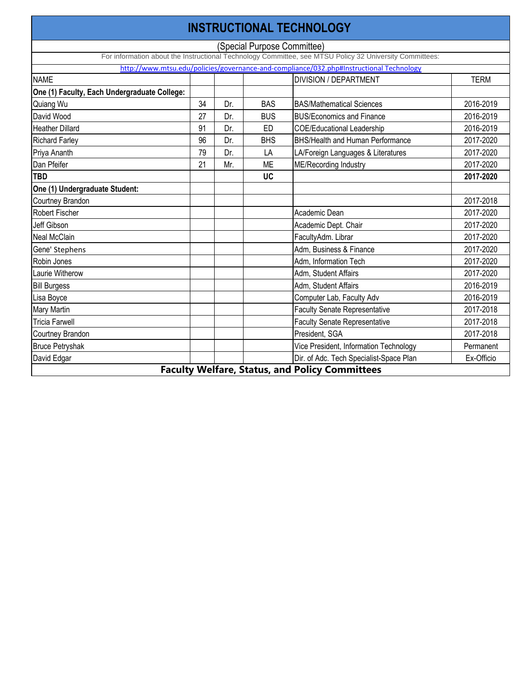|                                                                                         |    |     |                             | <b>INSTRUCTIONAL TECHNOLOGY</b>                                                                         |             |  |  |  |  |  |
|-----------------------------------------------------------------------------------------|----|-----|-----------------------------|---------------------------------------------------------------------------------------------------------|-------------|--|--|--|--|--|
|                                                                                         |    |     | (Special Purpose Committee) |                                                                                                         |             |  |  |  |  |  |
|                                                                                         |    |     |                             | For information about the Instructional Technology Committee, see MTSU Policy 32 University Committees: |             |  |  |  |  |  |
| http://www.mtsu.edu/policies/governance-and-compliance/032.php#Instructional Technology |    |     |                             |                                                                                                         |             |  |  |  |  |  |
| <b>NAME</b>                                                                             |    |     |                             | <b>DIVISION / DEPARTMENT</b>                                                                            | <b>TERM</b> |  |  |  |  |  |
| One (1) Faculty, Each Undergraduate College:                                            |    |     |                             |                                                                                                         |             |  |  |  |  |  |
| Quiang Wu                                                                               | 34 | Dr. | <b>BAS</b>                  | <b>BAS/Mathematical Sciences</b>                                                                        | 2016-2019   |  |  |  |  |  |
| David Wood                                                                              | 27 | Dr. | <b>BUS</b>                  | <b>BUS/Economics and Finance</b>                                                                        | 2016-2019   |  |  |  |  |  |
| <b>Heather Dillard</b>                                                                  | 91 | Dr. | ED                          | <b>COE/Educational Leadership</b>                                                                       | 2016-2019   |  |  |  |  |  |
| <b>Richard Farley</b>                                                                   | 96 | Dr. | <b>BHS</b>                  | <b>BHS/Health and Human Performance</b>                                                                 | 2017-2020   |  |  |  |  |  |
| Priya Ananth                                                                            | 79 | Dr. | LA                          | LA/Foreign Languages & Literatures                                                                      | 2017-2020   |  |  |  |  |  |
| Dan Pfeifer                                                                             | 21 | Mr. | <b>ME</b>                   | <b>ME/Recording Industry</b>                                                                            | 2017-2020   |  |  |  |  |  |
| <b>TBD</b>                                                                              |    |     | <b>UC</b>                   |                                                                                                         | 2017-2020   |  |  |  |  |  |
| One (1) Undergraduate Student:                                                          |    |     |                             |                                                                                                         |             |  |  |  |  |  |
| <b>Courtney Brandon</b>                                                                 |    |     |                             |                                                                                                         | 2017-2018   |  |  |  |  |  |
| <b>Robert Fischer</b>                                                                   |    |     |                             | Academic Dean                                                                                           | 2017-2020   |  |  |  |  |  |
| Jeff Gibson                                                                             |    |     |                             | Academic Dept. Chair                                                                                    | 2017-2020   |  |  |  |  |  |
| <b>Neal McClain</b>                                                                     |    |     |                             | FacultyAdm. Librar                                                                                      | 2017-2020   |  |  |  |  |  |
| Gene' Stephens                                                                          |    |     |                             | Adm, Business & Finance                                                                                 | 2017-2020   |  |  |  |  |  |
| Robin Jones                                                                             |    |     |                             | Adm, Information Tech                                                                                   | 2017-2020   |  |  |  |  |  |
| Laurie Witherow                                                                         |    |     |                             | Adm, Student Affairs                                                                                    | 2017-2020   |  |  |  |  |  |
| <b>Bill Burgess</b>                                                                     |    |     |                             | Adm, Student Affairs                                                                                    | 2016-2019   |  |  |  |  |  |
| Lisa Boyce                                                                              |    |     |                             | Computer Lab, Faculty Adv                                                                               | 2016-2019   |  |  |  |  |  |
| Mary Martin                                                                             |    |     |                             | <b>Faculty Senate Representative</b>                                                                    | 2017-2018   |  |  |  |  |  |
| <b>Tricia Farwell</b>                                                                   |    |     |                             | <b>Faculty Senate Representative</b>                                                                    | 2017-2018   |  |  |  |  |  |
| <b>Courtney Brandon</b>                                                                 |    |     |                             | President, SGA                                                                                          | 2017-2018   |  |  |  |  |  |
| <b>Bruce Petryshak</b>                                                                  |    |     |                             | Vice President, Information Technology                                                                  | Permanent   |  |  |  |  |  |
| David Edgar                                                                             |    |     |                             | Dir. of Adc. Tech Specialist-Space Plan                                                                 | Ex-Officio  |  |  |  |  |  |
|                                                                                         |    |     |                             | <b>Faculty Welfare, Status, and Policy Committees</b>                                                   |             |  |  |  |  |  |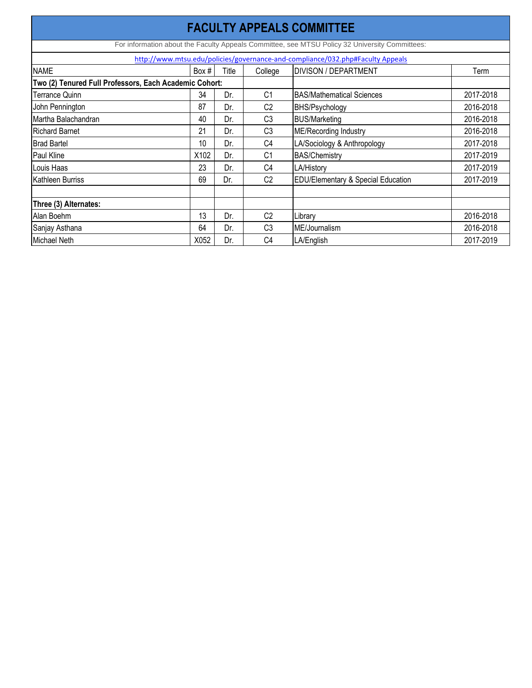| <b>FACULTY APPEALS COMMITTEE</b>                                                               |       |       |                |                                               |           |  |  |  |  |  |
|------------------------------------------------------------------------------------------------|-------|-------|----------------|-----------------------------------------------|-----------|--|--|--|--|--|
| For information about the Faculty Appeals Committee, see MTSU Policy 32 University Committees: |       |       |                |                                               |           |  |  |  |  |  |
| http://www.mtsu.edu/policies/governance-and-compliance/032.php#Faculty Appeals                 |       |       |                |                                               |           |  |  |  |  |  |
| <b>NAME</b>                                                                                    | Box # | Title | College        | <b>DIVISON / DEPARTMENT</b>                   | Term      |  |  |  |  |  |
| Two (2) Tenured Full Professors, Each Academic Cohort:                                         |       |       |                |                                               |           |  |  |  |  |  |
| Terrance Quinn                                                                                 | 34    | Dr.   | C <sub>1</sub> | <b>BAS/Mathematical Sciences</b>              | 2017-2018 |  |  |  |  |  |
| John Pennington                                                                                | 87    | Dr.   | C <sub>2</sub> | <b>BHS/Psychology</b>                         | 2016-2018 |  |  |  |  |  |
| Martha Balachandran                                                                            | 40    | Dr.   | C <sub>3</sub> | <b>BUS/Marketing</b>                          | 2016-2018 |  |  |  |  |  |
| <b>Richard Barnet</b>                                                                          | 21    | Dr.   | C <sub>3</sub> | <b>ME/Recording Industry</b>                  | 2016-2018 |  |  |  |  |  |
| <b>Brad Bartel</b>                                                                             | 10    | Dr.   | C <sub>4</sub> | LA/Sociology & Anthropology                   | 2017-2018 |  |  |  |  |  |
| Paul Kline                                                                                     | X102  | Dr.   | C <sub>1</sub> | <b>BAS/Chemistry</b>                          | 2017-2019 |  |  |  |  |  |
| Louis Haas                                                                                     | 23    | Dr.   | C <sub>4</sub> | LA/History                                    | 2017-2019 |  |  |  |  |  |
| Kathleen Burriss                                                                               | 69    | Dr.   | C <sub>2</sub> | <b>EDU/Elementary &amp; Special Education</b> | 2017-2019 |  |  |  |  |  |
|                                                                                                |       |       |                |                                               |           |  |  |  |  |  |
| Three (3) Alternates:                                                                          |       |       |                |                                               |           |  |  |  |  |  |
| Alan Boehm                                                                                     | 13    | Dr.   | C <sub>2</sub> | Library                                       | 2016-2018 |  |  |  |  |  |
| Sanjay Asthana                                                                                 | 64    | Dr.   | C <sub>3</sub> | ME/Journalism                                 | 2016-2018 |  |  |  |  |  |
| Michael Neth                                                                                   | X052  | Dr.   | C <sub>4</sub> | LA/English                                    | 2017-2019 |  |  |  |  |  |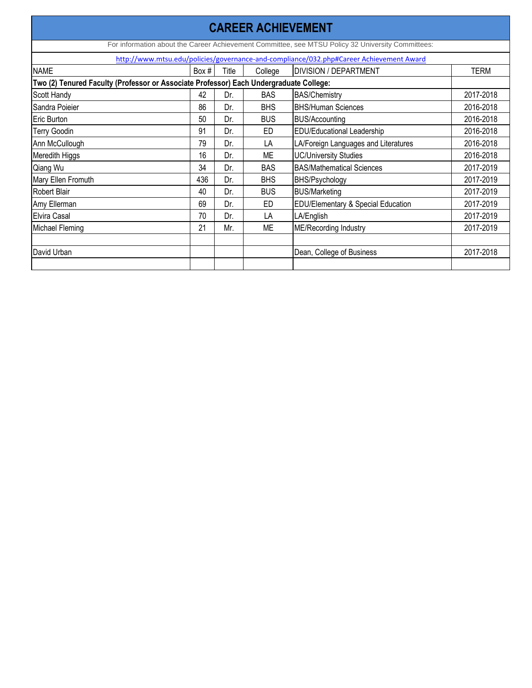|                                                                                         |       |       |            | <b>CAREER ACHIEVEMENT</b>                                                                         |             |  |  |  |  |
|-----------------------------------------------------------------------------------------|-------|-------|------------|---------------------------------------------------------------------------------------------------|-------------|--|--|--|--|
|                                                                                         |       |       |            | For information about the Career Achievement Committee, see MTSU Policy 32 University Committees: |             |  |  |  |  |
| http://www.mtsu.edu/policies/governance-and-compliance/032.php#Career Achievement Award |       |       |            |                                                                                                   |             |  |  |  |  |
| <b>NAME</b>                                                                             | Box # | Title | College    | <b>DIVISION / DEPARTMENT</b>                                                                      | <b>TERM</b> |  |  |  |  |
| Two (2) Tenured Faculty (Professor or Associate Professor) Each Undergraduate College:  |       |       |            |                                                                                                   |             |  |  |  |  |
| <b>Scott Handy</b>                                                                      | 42    | Dr.   | <b>BAS</b> | <b>BAS/Chemistry</b>                                                                              | 2017-2018   |  |  |  |  |
| Sandra Poieier                                                                          | 86    | Dr.   | <b>BHS</b> | <b>BHS/Human Sciences</b>                                                                         | 2016-2018   |  |  |  |  |
| Eric Burton                                                                             | 50    | Dr.   | <b>BUS</b> | <b>BUS/Accounting</b>                                                                             | 2016-2018   |  |  |  |  |
| <b>Terry Goodin</b>                                                                     | 91    | Dr.   | ED         | <b>EDU/Educational Leadership</b>                                                                 | 2016-2018   |  |  |  |  |
| Ann McCullough                                                                          | 79    | Dr.   | LA         | LA/Foreign Languages and Literatures                                                              | 2016-2018   |  |  |  |  |
| Meredith Higgs                                                                          | 16    | Dr.   | <b>ME</b>  | <b>UC/University Studies</b>                                                                      | 2016-2018   |  |  |  |  |
| Qiang Wu                                                                                | 34    | Dr.   | <b>BAS</b> | <b>BAS/Mathematical Sciences</b>                                                                  | 2017-2019   |  |  |  |  |
| Mary Ellen Fromuth                                                                      | 436   | Dr.   | <b>BHS</b> | <b>BHS/Psychology</b>                                                                             | 2017-2019   |  |  |  |  |
| Robert Blair                                                                            | 40    | Dr.   | <b>BUS</b> | <b>BUS/Marketing</b>                                                                              | 2017-2019   |  |  |  |  |
| Amy Ellerman                                                                            | 69    | Dr.   | ED         | EDU/Elementary & Special Education                                                                | 2017-2019   |  |  |  |  |
| Elvira Casal                                                                            | 70    | Dr.   | LA         | LA/English                                                                                        | 2017-2019   |  |  |  |  |
| Michael Fleming                                                                         | 21    | Mr.   | ME         | <b>ME/Recording Industry</b>                                                                      | 2017-2019   |  |  |  |  |
| David Urban                                                                             |       |       |            | Dean, College of Business                                                                         | 2017-2018   |  |  |  |  |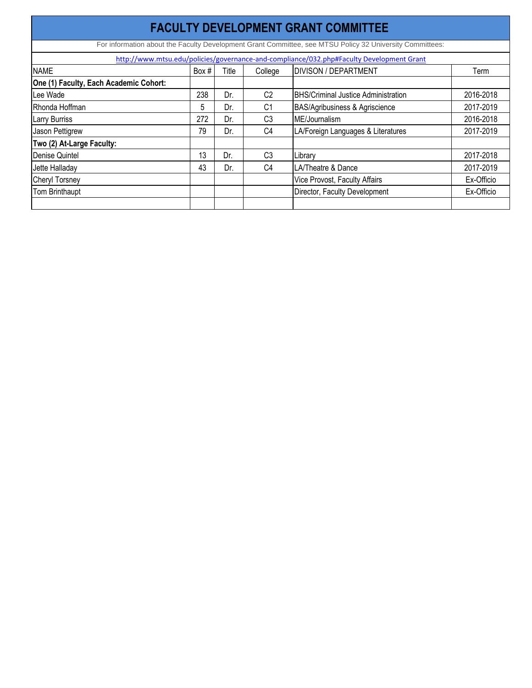| <b>FACULTY DEVELOPMENT GRANT COMMITTEE</b>                                                               |         |       |                |                                                                                          |            |  |  |  |  |  |
|----------------------------------------------------------------------------------------------------------|---------|-------|----------------|------------------------------------------------------------------------------------------|------------|--|--|--|--|--|
| For information about the Faculty Development Grant Committee, see MTSU Policy 32 University Committees: |         |       |                |                                                                                          |            |  |  |  |  |  |
|                                                                                                          |         |       |                | http://www.mtsu.edu/policies/governance-and-compliance/032.php#Faculty Development Grant |            |  |  |  |  |  |
| <b>NAME</b>                                                                                              | Box $#$ | Title | College        | <b>DIVISON / DEPARTMENT</b>                                                              | Term       |  |  |  |  |  |
| One (1) Faculty, Each Academic Cohort:                                                                   |         |       |                |                                                                                          |            |  |  |  |  |  |
| Lee Wade                                                                                                 | 238     | Dr.   | C <sub>2</sub> | <b>BHS/Criminal Justice Administration</b>                                               | 2016-2018  |  |  |  |  |  |
| Rhonda Hoffman                                                                                           | 5       | Dr.   | C <sub>1</sub> | <b>BAS/Agribusiness &amp; Agriscience</b>                                                | 2017-2019  |  |  |  |  |  |
| <b>Larry Burriss</b>                                                                                     | 272     | Dr.   | C <sub>3</sub> | ME/Journalism                                                                            | 2016-2018  |  |  |  |  |  |
| Jason Pettigrew                                                                                          | 79      | Dr.   | C <sub>4</sub> | LA/Foreign Languages & Literatures                                                       | 2017-2019  |  |  |  |  |  |
| Two (2) At-Large Faculty:                                                                                |         |       |                |                                                                                          |            |  |  |  |  |  |
| Denise Quintel                                                                                           | 13      | Dr.   | C <sub>3</sub> | Library                                                                                  | 2017-2018  |  |  |  |  |  |
| Jette Halladay                                                                                           | 43      | Dr.   | C <sub>4</sub> | LA/Theatre & Dance                                                                       | 2017-2019  |  |  |  |  |  |
| <b>Cheryl Torsney</b>                                                                                    |         |       |                | Vice Provost, Faculty Affairs                                                            | Ex-Officio |  |  |  |  |  |
| Tom Brinthaupt                                                                                           |         |       |                | Director, Faculty Development                                                            | Ex-Officio |  |  |  |  |  |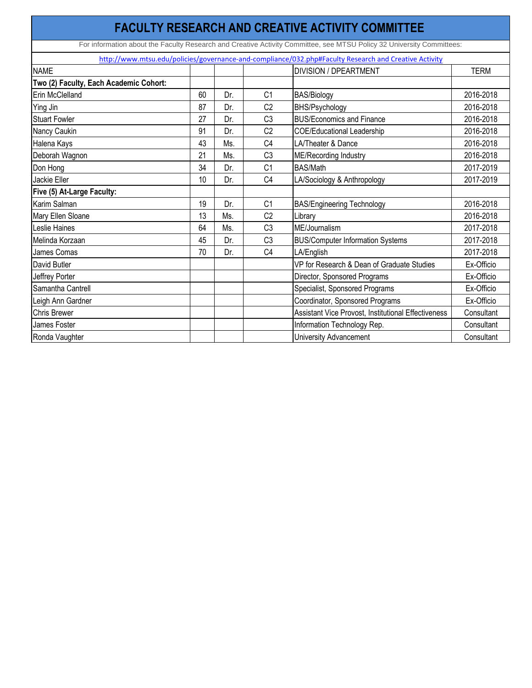|                                                                                                       |    |     |                | <b>FACULTY RESEARCH AND CREATIVE ACTIVITY COMMITTEE</b>                                                               |             |  |  |  |  |
|-------------------------------------------------------------------------------------------------------|----|-----|----------------|-----------------------------------------------------------------------------------------------------------------------|-------------|--|--|--|--|
|                                                                                                       |    |     |                | For information about the Faculty Research and Creative Activity Committee, see MTSU Policy 32 University Committees: |             |  |  |  |  |
| http://www.mtsu.edu/policies/governance-and-compliance/032.php#Faculty Research and Creative Activity |    |     |                |                                                                                                                       |             |  |  |  |  |
| <b>NAME</b>                                                                                           |    |     |                | <b>DIVISION / DPEARTMENT</b>                                                                                          | <b>TERM</b> |  |  |  |  |
| Two (2) Faculty, Each Academic Cohort:                                                                |    |     |                |                                                                                                                       |             |  |  |  |  |
| Erin McClelland                                                                                       | 60 | Dr. | C <sub>1</sub> | <b>BAS/Biology</b>                                                                                                    | 2016-2018   |  |  |  |  |
| Ying Jin                                                                                              | 87 | Dr. | C <sub>2</sub> | <b>BHS/Psychology</b>                                                                                                 | 2016-2018   |  |  |  |  |
| <b>Stuart Fowler</b>                                                                                  | 27 | Dr. | C <sub>3</sub> | <b>BUS/Economics and Finance</b>                                                                                      | 2016-2018   |  |  |  |  |
| Nancy Caukin                                                                                          | 91 | Dr. | C <sub>2</sub> | <b>COE/Educational Leadership</b>                                                                                     | 2016-2018   |  |  |  |  |
| Halena Kays                                                                                           | 43 | Ms. | C <sub>4</sub> | LA/Theater & Dance                                                                                                    | 2016-2018   |  |  |  |  |
| Deborah Wagnon                                                                                        | 21 | Ms. | C <sub>3</sub> | <b>ME/Recording Industry</b>                                                                                          | 2016-2018   |  |  |  |  |
| Don Hong                                                                                              | 34 | Dr. | C <sub>1</sub> | <b>BAS/Math</b>                                                                                                       | 2017-2019   |  |  |  |  |
| <b>Jackie Eller</b>                                                                                   | 10 | Dr. | C <sub>4</sub> | LA/Sociology & Anthropology                                                                                           | 2017-2019   |  |  |  |  |
| Five (5) At-Large Faculty:                                                                            |    |     |                |                                                                                                                       |             |  |  |  |  |
| Karim Salman                                                                                          | 19 | Dr. | C <sub>1</sub> | <b>BAS/Engineering Technology</b>                                                                                     | 2016-2018   |  |  |  |  |
| Mary Ellen Sloane                                                                                     | 13 | Ms. | C <sub>2</sub> | Library                                                                                                               | 2016-2018   |  |  |  |  |
| Leslie Haines                                                                                         | 64 | Ms. | C <sub>3</sub> | ME/Journalism                                                                                                         | 2017-2018   |  |  |  |  |
| Melinda Korzaan                                                                                       | 45 | Dr. | C <sub>3</sub> | <b>BUS/Computer Information Systems</b>                                                                               | 2017-2018   |  |  |  |  |
| James Comas                                                                                           | 70 | Dr. | C <sub>4</sub> | LA/English                                                                                                            | 2017-2018   |  |  |  |  |
| David Butler                                                                                          |    |     |                | VP for Research & Dean of Graduate Studies                                                                            | Ex-Officio  |  |  |  |  |
| Jeffrey Porter                                                                                        |    |     |                | Director, Sponsored Programs                                                                                          | Ex-Officio  |  |  |  |  |
| Samantha Cantrell                                                                                     |    |     |                | Specialist, Sponsored Programs                                                                                        | Ex-Officio  |  |  |  |  |
| Leigh Ann Gardner                                                                                     |    |     |                | Coordinator, Sponsored Programs                                                                                       | Ex-Officio  |  |  |  |  |
| <b>Chris Brewer</b>                                                                                   |    |     |                | Assistant Vice Provost, Institutional Effectiveness                                                                   | Consultant  |  |  |  |  |
| James Foster                                                                                          |    |     |                | Information Technology Rep.                                                                                           | Consultant  |  |  |  |  |
| Ronda Vaughter                                                                                        |    |     |                | <b>University Advancement</b>                                                                                         | Consultant  |  |  |  |  |
|                                                                                                       |    |     |                |                                                                                                                       |             |  |  |  |  |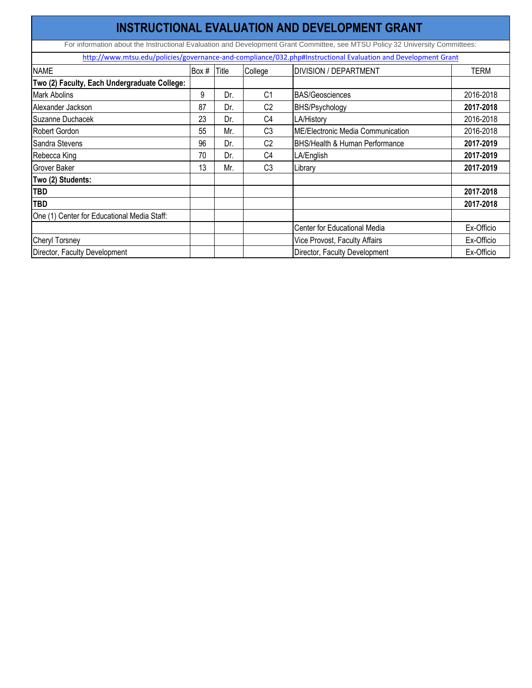| <b>INSTRUCTIONAL EVALUATION AND DEVELOPMENT GRANT</b>                                                         |       |       |                |                                                                                                                               |             |  |  |  |  |  |
|---------------------------------------------------------------------------------------------------------------|-------|-------|----------------|-------------------------------------------------------------------------------------------------------------------------------|-------------|--|--|--|--|--|
|                                                                                                               |       |       |                | For information about the Instructional Evaluation and Development Grant Committee, see MTSU Policy 32 University Committees: |             |  |  |  |  |  |
| http://www.mtsu.edu/policies/governance-and-compliance/032.php#Instructional Evaluation and Development Grant |       |       |                |                                                                                                                               |             |  |  |  |  |  |
| <b>NAME</b>                                                                                                   | Box # | Title | College        | <b>DIVISION / DEPARTMENT</b>                                                                                                  | <b>TERM</b> |  |  |  |  |  |
| Two (2) Faculty, Each Undergraduate College:                                                                  |       |       |                |                                                                                                                               |             |  |  |  |  |  |
| <b>Mark Abolins</b>                                                                                           | 9     | Dr.   | C <sub>1</sub> | <b>BAS/Geosciences</b>                                                                                                        | 2016-2018   |  |  |  |  |  |
| Alexander Jackson                                                                                             | 87    | Dr.   | C <sub>2</sub> | <b>BHS/Psychology</b>                                                                                                         | 2017-2018   |  |  |  |  |  |
| Suzanne Duchacek                                                                                              | 23    | Dr.   | C <sub>4</sub> | LA/History                                                                                                                    | 2016-2018   |  |  |  |  |  |
| Robert Gordon                                                                                                 | 55    | Mr.   | C <sub>3</sub> | ME/Electronic Media Communication                                                                                             | 2016-2018   |  |  |  |  |  |
| Sandra Stevens                                                                                                | 96    | Dr.   | C <sub>2</sub> | <b>BHS/Health &amp; Human Performance</b>                                                                                     | 2017-2019   |  |  |  |  |  |
| Rebecca King                                                                                                  | 70    | Dr.   | C <sub>4</sub> | LA/English                                                                                                                    | 2017-2019   |  |  |  |  |  |
| <b>Grover Baker</b>                                                                                           | 13    | Mr.   | C <sub>3</sub> | Library                                                                                                                       | 2017-2019   |  |  |  |  |  |
| Two (2) Students:                                                                                             |       |       |                |                                                                                                                               |             |  |  |  |  |  |
| <b>TBD</b>                                                                                                    |       |       |                |                                                                                                                               | 2017-2018   |  |  |  |  |  |
| <b>TBD</b>                                                                                                    |       |       |                |                                                                                                                               | 2017-2018   |  |  |  |  |  |
| One (1) Center for Educational Media Staff:                                                                   |       |       |                |                                                                                                                               |             |  |  |  |  |  |
|                                                                                                               |       |       |                | Center for Educational Media                                                                                                  | Ex-Officio  |  |  |  |  |  |
| <b>Cheryl Torsney</b>                                                                                         |       |       |                | Vice Provost, Faculty Affairs                                                                                                 | Ex-Officio  |  |  |  |  |  |
| Director, Faculty Development                                                                                 |       |       |                | Director, Faculty Development                                                                                                 | Ex-Officio  |  |  |  |  |  |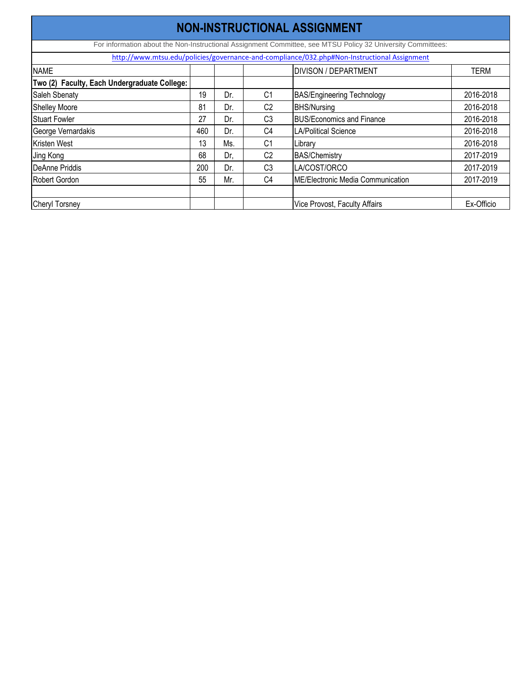| <b>NON-INSTRUCTIONAL ASSIGNMENT</b>                                                                         |     |     |                |                                                                                             |             |  |  |  |  |  |
|-------------------------------------------------------------------------------------------------------------|-----|-----|----------------|---------------------------------------------------------------------------------------------|-------------|--|--|--|--|--|
| For information about the Non-Instructional Assignment Committee, see MTSU Policy 32 University Committees: |     |     |                |                                                                                             |             |  |  |  |  |  |
|                                                                                                             |     |     |                | http://www.mtsu.edu/policies/governance-and-compliance/032.php#Non-Instructional Assignment |             |  |  |  |  |  |
| <b>NAME</b>                                                                                                 |     |     |                | <b>DIVISON / DEPARTMENT</b>                                                                 | <b>TERM</b> |  |  |  |  |  |
| Two (2) Faculty, Each Undergraduate College:                                                                |     |     |                |                                                                                             |             |  |  |  |  |  |
| Saleh Sbenaty                                                                                               | 19  | Dr. | C <sub>1</sub> | <b>BAS/Engineering Technology</b>                                                           | 2016-2018   |  |  |  |  |  |
| <b>Shelley Moore</b>                                                                                        | 81  | Dr. | C <sub>2</sub> | <b>BHS/Nursing</b>                                                                          | 2016-2018   |  |  |  |  |  |
| <b>Stuart Fowler</b>                                                                                        | 27  | Dr. | C <sub>3</sub> | <b>BUS/Economics and Finance</b>                                                            | 2016-2018   |  |  |  |  |  |
| George Vernardakis                                                                                          | 460 | Dr. | C <sub>4</sub> | <b>LA/Political Science</b>                                                                 | 2016-2018   |  |  |  |  |  |
| Kristen West                                                                                                | 13  | Ms. | C <sub>1</sub> | Library                                                                                     | 2016-2018   |  |  |  |  |  |
| Jing Kong                                                                                                   | 68  | Dr, | C <sub>2</sub> | <b>BAS/Chemistry</b>                                                                        | 2017-2019   |  |  |  |  |  |
| DeAnne Priddis                                                                                              | 200 | Dr. | C <sub>3</sub> | LA/COST/ORCO                                                                                | 2017-2019   |  |  |  |  |  |
| Robert Gordon                                                                                               | 55  | Mr. | C <sub>4</sub> | <b>ME/Electronic Media Communication</b>                                                    | 2017-2019   |  |  |  |  |  |
| <b>Cheryl Torsney</b>                                                                                       |     |     |                | <b>Vice Provost, Faculty Affairs</b>                                                        | Ex-Officio  |  |  |  |  |  |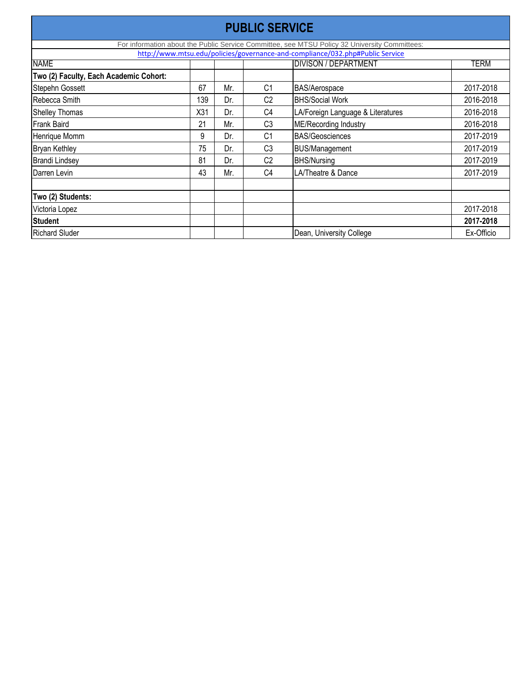| <b>PUBLIC SERVICE</b>                                                                         |                 |     |                |                                   |            |  |  |  |  |  |
|-----------------------------------------------------------------------------------------------|-----------------|-----|----------------|-----------------------------------|------------|--|--|--|--|--|
| For information about the Public Service Committee, see MTSU Policy 32 University Committees: |                 |     |                |                                   |            |  |  |  |  |  |
| http://www.mtsu.edu/policies/governance-and-compliance/032.php#Public Service                 |                 |     |                |                                   |            |  |  |  |  |  |
| <b>NAME</b>                                                                                   |                 |     |                | <b>DIVISON / DEPARTMENT</b>       | TERM       |  |  |  |  |  |
| Two (2) Faculty, Each Academic Cohort:                                                        |                 |     |                |                                   |            |  |  |  |  |  |
| Stepehn Gossett                                                                               | 67              | Mr. | C <sub>1</sub> | BAS/Aerospace                     | 2017-2018  |  |  |  |  |  |
| Rebecca Smith                                                                                 | 139             | Dr. | C <sub>2</sub> | <b>BHS/Social Work</b>            | 2016-2018  |  |  |  |  |  |
| <b>Shelley Thomas</b>                                                                         | X <sub>31</sub> | Dr. | C <sub>4</sub> | LA/Foreign Language & Literatures | 2016-2018  |  |  |  |  |  |
| <b>Frank Baird</b>                                                                            | 21              | Mr. | C <sub>3</sub> | ME/Recording Industry             | 2016-2018  |  |  |  |  |  |
| Henrique Momm                                                                                 | 9               | Dr. | C <sub>1</sub> | <b>BAS/Geosciences</b>            | 2017-2019  |  |  |  |  |  |
| <b>Bryan Kethley</b>                                                                          | 75              | Dr. | C <sub>3</sub> | <b>BUS/Management</b>             | 2017-2019  |  |  |  |  |  |
| <b>Brandi Lindsey</b>                                                                         | 81              | Dr. | C <sub>2</sub> | <b>BHS/Nursing</b>                | 2017-2019  |  |  |  |  |  |
| Darren Levin                                                                                  | 43              | Mr. | C <sub>4</sub> | LA/Theatre & Dance                | 2017-2019  |  |  |  |  |  |
|                                                                                               |                 |     |                |                                   |            |  |  |  |  |  |
| Two (2) Students:                                                                             |                 |     |                |                                   |            |  |  |  |  |  |
| Victoria Lopez                                                                                |                 |     |                |                                   | 2017-2018  |  |  |  |  |  |
| Student                                                                                       |                 |     |                |                                   | 2017-2018  |  |  |  |  |  |
| <b>Richard Sluder</b>                                                                         |                 |     |                | Dean, University College          | Ex-Officio |  |  |  |  |  |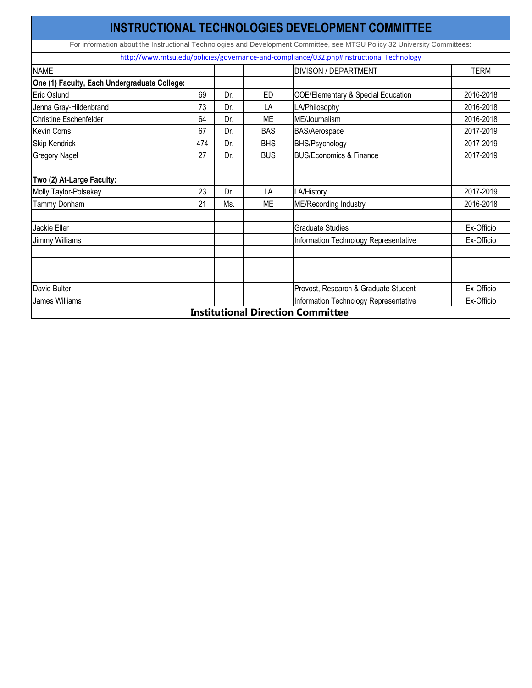|                                              |     |     |            | <b>INSTRUCTIONAL TECHNOLOGIES DEVELOPMENT COMMITTEE</b>                                                                   |             |
|----------------------------------------------|-----|-----|------------|---------------------------------------------------------------------------------------------------------------------------|-------------|
|                                              |     |     |            | For information about the Instructional Technologies and Development Committee, see MTSU Policy 32 University Committees: |             |
|                                              |     |     |            | http://www.mtsu.edu/policies/governance-and-compliance/032.php#Instructional Technology                                   |             |
| <b>NAME</b>                                  |     |     |            | <b>DIVISON / DEPARTMENT</b>                                                                                               | <b>TERM</b> |
| One (1) Faculty, Each Undergraduate College: |     |     |            |                                                                                                                           |             |
| Eric Oslund                                  | 69  | Dr. | <b>ED</b>  | <b>COE/Elementary &amp; Special Education</b>                                                                             | 2016-2018   |
| Jenna Gray-Hildenbrand                       | 73  | Dr. | LA         | LA/Philosophy                                                                                                             | 2016-2018   |
| <b>Christine Eschenfelder</b>                | 64  | Dr. | <b>ME</b>  | ME/Journalism                                                                                                             | 2016-2018   |
| <b>Kevin Corns</b>                           | 67  | Dr. | <b>BAS</b> | <b>BAS/Aerospace</b>                                                                                                      | 2017-2019   |
| <b>Skip Kendrick</b>                         | 474 | Dr. | <b>BHS</b> | <b>BHS/Psychology</b>                                                                                                     | 2017-2019   |
| <b>Gregory Nagel</b>                         | 27  | Dr. | <b>BUS</b> | <b>BUS/Economics &amp; Finance</b>                                                                                        | 2017-2019   |
|                                              |     |     |            |                                                                                                                           |             |
| Two (2) At-Large Faculty:                    |     |     |            |                                                                                                                           |             |
| Molly Taylor-Polsekey                        | 23  | Dr. | LA         | <b>LA/History</b>                                                                                                         | 2017-2019   |
| Tammy Donham                                 | 21  | Ms. | <b>ME</b>  | <b>ME/Recording Industry</b>                                                                                              | 2016-2018   |
|                                              |     |     |            |                                                                                                                           |             |
| <b>Jackie Eller</b>                          |     |     |            | <b>Graduate Studies</b>                                                                                                   | Ex-Officio  |
| <b>Jimmy Williams</b>                        |     |     |            | Information Technology Representative                                                                                     | Ex-Officio  |
|                                              |     |     |            |                                                                                                                           |             |
|                                              |     |     |            |                                                                                                                           |             |
|                                              |     |     |            |                                                                                                                           |             |
| David Bulter                                 |     |     |            | Provost, Research & Graduate Student                                                                                      | Ex-Officio  |
| <b>James Williams</b>                        |     |     |            | Information Technology Representative                                                                                     | Ex-Officio  |
|                                              |     |     |            | <b>Institutional Direction Committee</b>                                                                                  |             |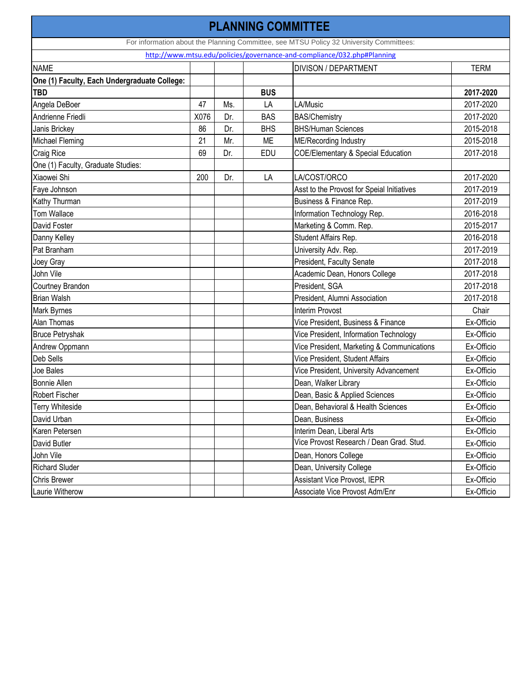| <b>PLANNING COMMITTEE</b>                    |                                                                         |     |            |                                                                                         |             |  |  |  |  |
|----------------------------------------------|-------------------------------------------------------------------------|-----|------------|-----------------------------------------------------------------------------------------|-------------|--|--|--|--|
|                                              |                                                                         |     |            | For information about the Planning Committee, see MTSU Policy 32 University Committees: |             |  |  |  |  |
|                                              | http://www.mtsu.edu/policies/governance-and-compliance/032.php#Planning |     |            |                                                                                         |             |  |  |  |  |
| <b>NAME</b>                                  |                                                                         |     |            | <b>DIVISON / DEPARTMENT</b>                                                             | <b>TERM</b> |  |  |  |  |
| One (1) Faculty, Each Undergraduate College: |                                                                         |     |            |                                                                                         |             |  |  |  |  |
| <b>TBD</b>                                   |                                                                         |     | <b>BUS</b> |                                                                                         | 2017-2020   |  |  |  |  |
| Angela DeBoer                                | 47                                                                      | Ms. | LA         | LA/Music                                                                                | 2017-2020   |  |  |  |  |
| Andrienne Friedli                            | X076                                                                    | Dr. | <b>BAS</b> | <b>BAS/Chemistry</b>                                                                    | 2017-2020   |  |  |  |  |
| Janis Brickey                                | 86                                                                      | Dr. | <b>BHS</b> | <b>BHS/Human Sciences</b>                                                               | 2015-2018   |  |  |  |  |
| Michael Fleming                              | 21                                                                      | Mr. | ME         | <b>ME/Recording Industry</b>                                                            | 2015-2018   |  |  |  |  |
| <b>Craig Rice</b>                            | 69                                                                      | Dr. | <b>EDU</b> | <b>COE/Elementary &amp; Special Education</b>                                           | 2017-2018   |  |  |  |  |
| One (1) Faculty, Graduate Studies:           |                                                                         |     |            |                                                                                         |             |  |  |  |  |
| Xiaowei Shi                                  | 200                                                                     | Dr. | LA         | LA/COST/ORCO                                                                            | 2017-2020   |  |  |  |  |
| Faye Johnson                                 |                                                                         |     |            | Asst to the Provost for Speial Initiatives                                              | 2017-2019   |  |  |  |  |
| Kathy Thurman                                |                                                                         |     |            | Business & Finance Rep.                                                                 | 2017-2019   |  |  |  |  |
| <b>Tom Wallace</b>                           |                                                                         |     |            | Information Technology Rep.                                                             | 2016-2018   |  |  |  |  |
| David Foster                                 |                                                                         |     |            | Marketing & Comm. Rep.                                                                  | 2015-2017   |  |  |  |  |
| Danny Kelley                                 |                                                                         |     |            | Student Affairs Rep.                                                                    | 2016-2018   |  |  |  |  |
| Pat Branham                                  |                                                                         |     |            | University Adv. Rep.                                                                    | 2017-2019   |  |  |  |  |
| Joey Gray                                    |                                                                         |     |            | President, Faculty Senate                                                               | 2017-2018   |  |  |  |  |
| John Vile                                    |                                                                         |     |            | Academic Dean, Honors College                                                           | 2017-2018   |  |  |  |  |
| Courtney Brandon                             |                                                                         |     |            | President, SGA                                                                          | 2017-2018   |  |  |  |  |
| <b>Brian Walsh</b>                           |                                                                         |     |            | President, Alumni Association                                                           | 2017-2018   |  |  |  |  |
| Mark Byrnes                                  |                                                                         |     |            | <b>Interim Provost</b>                                                                  | Chair       |  |  |  |  |
| Alan Thomas                                  |                                                                         |     |            | Vice President, Business & Finance                                                      | Ex-Officio  |  |  |  |  |
| <b>Bruce Petryshak</b>                       |                                                                         |     |            | Vice President, Information Technology                                                  | Ex-Officio  |  |  |  |  |
| Andrew Oppmann                               |                                                                         |     |            | Vice President, Marketing & Communications                                              | Ex-Officio  |  |  |  |  |
| Deb Sells                                    |                                                                         |     |            | <b>Vice President, Student Affairs</b>                                                  | Ex-Officio  |  |  |  |  |
| Joe Bales                                    |                                                                         |     |            | Vice President, University Advancement                                                  | Ex-Officio  |  |  |  |  |
| Bonnie Allen                                 |                                                                         |     |            | Dean, Walker Library                                                                    | Ex-Officio  |  |  |  |  |
| <b>Robert Fischer</b>                        |                                                                         |     |            | Dean, Basic & Applied Sciences                                                          | Ex-Officio  |  |  |  |  |
| <b>Terry Whiteside</b>                       |                                                                         |     |            | Dean, Behavioral & Health Sciences                                                      | Ex-Officio  |  |  |  |  |
| David Urban                                  |                                                                         |     |            | Dean, Business                                                                          | Ex-Officio  |  |  |  |  |
| Karen Petersen                               |                                                                         |     |            | Interim Dean, Liberal Arts                                                              | Ex-Officio  |  |  |  |  |
| David Butler                                 |                                                                         |     |            | Vice Provost Research / Dean Grad. Stud.                                                | Ex-Officio  |  |  |  |  |
| John Vile                                    |                                                                         |     |            | Dean, Honors College                                                                    | Ex-Officio  |  |  |  |  |
| <b>Richard Sluder</b>                        |                                                                         |     |            | Dean, University College                                                                | Ex-Officio  |  |  |  |  |
| <b>Chris Brewer</b>                          |                                                                         |     |            | <b>Assistant Vice Provost, IEPR</b>                                                     | Ex-Officio  |  |  |  |  |
| Laurie Witherow                              |                                                                         |     |            | Associate Vice Provost Adm/Enr                                                          | Ex-Officio  |  |  |  |  |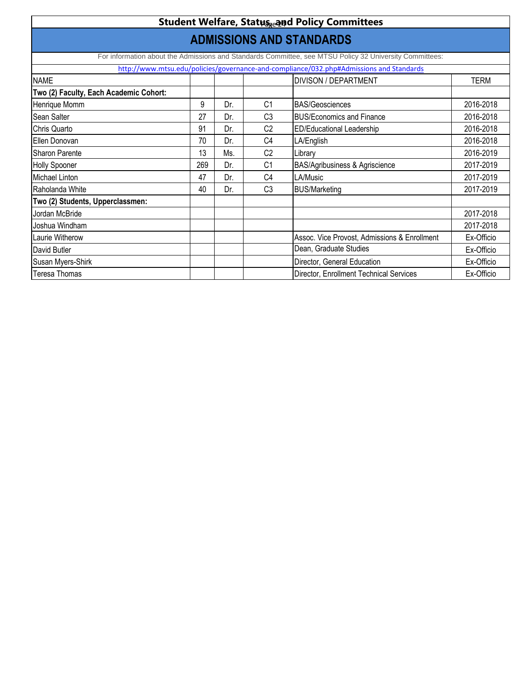| <b>Student Welfare, Status<sub>ze</sub>and Policy Committees</b>                        |     |     |                |                                                                                                         |             |  |  |  |  |
|-----------------------------------------------------------------------------------------|-----|-----|----------------|---------------------------------------------------------------------------------------------------------|-------------|--|--|--|--|
| <b>ADMISSIONS AND STANDARDS</b>                                                         |     |     |                |                                                                                                         |             |  |  |  |  |
|                                                                                         |     |     |                | For information about the Admissions and Standards Committee, see MTSU Policy 32 University Committees: |             |  |  |  |  |
| http://www.mtsu.edu/policies/governance-and-compliance/032.php#Admissions and Standards |     |     |                |                                                                                                         |             |  |  |  |  |
| <b>NAME</b>                                                                             |     |     |                | <b>DIVISON / DEPARTMENT</b>                                                                             | <b>TERM</b> |  |  |  |  |
| Two (2) Faculty, Each Academic Cohort:                                                  |     |     |                |                                                                                                         |             |  |  |  |  |
| Henrique Momm                                                                           | 9   | Dr. | C <sub>1</sub> | <b>BAS/Geosciences</b>                                                                                  | 2016-2018   |  |  |  |  |
| Sean Salter                                                                             | 27  | Dr. | C <sub>3</sub> | <b>BUS/Economics and Finance</b>                                                                        | 2016-2018   |  |  |  |  |
| Chris Quarto                                                                            | 91  | Dr. | C <sub>2</sub> | <b>ED/Educational Leadership</b>                                                                        | 2016-2018   |  |  |  |  |
| <b>Ellen Donovan</b>                                                                    | 70  | Dr. | C <sub>4</sub> | LA/English                                                                                              | 2016-2018   |  |  |  |  |
| <b>Sharon Parente</b>                                                                   | 13  | Ms. | C <sub>2</sub> | Library                                                                                                 | 2016-2019   |  |  |  |  |
| <b>Holly Spooner</b>                                                                    | 269 | Dr. | C <sub>1</sub> | <b>BAS/Agribusiness &amp; Agriscience</b>                                                               | 2017-2019   |  |  |  |  |
| Michael Linton                                                                          | 47  | Dr. | C <sub>4</sub> | LA/Music                                                                                                | 2017-2019   |  |  |  |  |
| Raholanda White                                                                         | 40  | Dr. | C <sub>3</sub> | <b>BUS/Marketing</b>                                                                                    | 2017-2019   |  |  |  |  |
| Two (2) Students, Upperclassmen:                                                        |     |     |                |                                                                                                         |             |  |  |  |  |
| Jordan McBride                                                                          |     |     |                |                                                                                                         | 2017-2018   |  |  |  |  |
| Joshua Windham                                                                          |     |     |                |                                                                                                         | 2017-2018   |  |  |  |  |
| Laurie Witherow                                                                         |     |     |                | Assoc. Vice Provost, Admissions & Enrollment                                                            | Ex-Officio  |  |  |  |  |
| David Butler                                                                            |     |     |                | Dean, Graduate Studies                                                                                  | Ex-Officio  |  |  |  |  |
| Susan Myers-Shirk                                                                       |     |     |                | Director, General Education                                                                             | Ex-Officio  |  |  |  |  |
| <b>Teresa Thomas</b>                                                                    |     |     |                | Director, Enrollment Technical Services                                                                 | Ex-Officio  |  |  |  |  |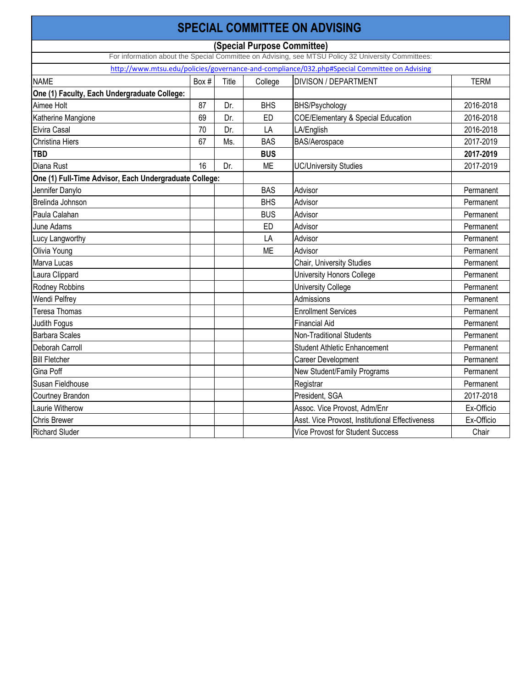|                                                        |       |       |            | <b>SPECIAL COMMITTEE ON ADVISING</b>                                                               |             |
|--------------------------------------------------------|-------|-------|------------|----------------------------------------------------------------------------------------------------|-------------|
|                                                        |       |       |            | (Special Purpose Committee)                                                                        |             |
|                                                        |       |       |            | For information about the Special Committee on Advising, see MTSU Policy 32 University Committees: |             |
|                                                        |       |       |            | http://www.mtsu.edu/policies/governance-and-compliance/032.php#Special Committee on Advising       |             |
| <b>NAME</b>                                            | Box # | Title | College    | <b>DIVISON / DEPARTMENT</b>                                                                        | <b>TERM</b> |
| One (1) Faculty, Each Undergraduate College:           |       |       |            |                                                                                                    |             |
| Aimee Holt                                             | 87    | Dr.   | <b>BHS</b> | <b>BHS/Psychology</b>                                                                              | 2016-2018   |
| Katherine Mangione                                     | 69    | Dr.   | <b>ED</b>  | <b>COE/Elementary &amp; Special Education</b>                                                      | 2016-2018   |
| Elvira Casal                                           | 70    | Dr.   | LA         | LA/English                                                                                         | 2016-2018   |
| <b>Christina Hiers</b>                                 | 67    | Ms.   | <b>BAS</b> | <b>BAS/Aerospace</b>                                                                               | 2017-2019   |
| <b>TBD</b>                                             |       |       | <b>BUS</b> |                                                                                                    | 2017-2019   |
| Diana Rust                                             | 16    | Dr.   | ME         | <b>UC/University Studies</b>                                                                       | 2017-2019   |
| One (1) Full-Time Advisor, Each Undergraduate College: |       |       |            |                                                                                                    |             |
| Jennifer Danylo                                        |       |       | <b>BAS</b> | Advisor                                                                                            | Permanent   |
| Brelinda Johnson                                       |       |       | <b>BHS</b> | Advisor                                                                                            | Permanent   |
| Paula Calahan                                          |       |       | <b>BUS</b> | Advisor                                                                                            | Permanent   |
| June Adams                                             |       |       | <b>ED</b>  | Advisor                                                                                            | Permanent   |
| Lucy Langworthy                                        |       |       | LA         | Advisor                                                                                            | Permanent   |
| Olivia Young                                           |       |       | <b>ME</b>  | Advisor                                                                                            | Permanent   |
| Marva Lucas                                            |       |       |            | Chair, University Studies                                                                          | Permanent   |
| Laura Clippard                                         |       |       |            | <b>University Honors College</b>                                                                   | Permanent   |
| Rodney Robbins                                         |       |       |            | University College                                                                                 | Permanent   |
| <b>Wendi Pelfrey</b>                                   |       |       |            | Admissions                                                                                         | Permanent   |
| Teresa Thomas                                          |       |       |            | <b>Enrollment Services</b>                                                                         | Permanent   |
| Judith Fogus                                           |       |       |            | <b>Financial Aid</b>                                                                               | Permanent   |
| <b>Barbara Scales</b>                                  |       |       |            | Non-Traditional Students                                                                           | Permanent   |
| Deborah Carroll                                        |       |       |            | <b>Student Athletic Enhancement</b>                                                                | Permanent   |
| <b>Bill Fletcher</b>                                   |       |       |            | Career Development                                                                                 | Permanent   |
| Gina Poff                                              |       |       |            | New Student/Family Programs                                                                        | Permanent   |
| Susan Fieldhouse                                       |       |       |            | Registrar                                                                                          | Permanent   |
| <b>Courtney Brandon</b>                                |       |       |            | President, SGA                                                                                     | 2017-2018   |
| Laurie Witherow                                        |       |       |            | Assoc. Vice Provost, Adm/Enr                                                                       | Ex-Officio  |
| <b>Chris Brewer</b>                                    |       |       |            | Asst. Vice Provost, Institutional Effectiveness                                                    | Ex-Officio  |
| <b>Richard Sluder</b>                                  |       |       |            | <b>Vice Provost for Student Success</b>                                                            | Chair       |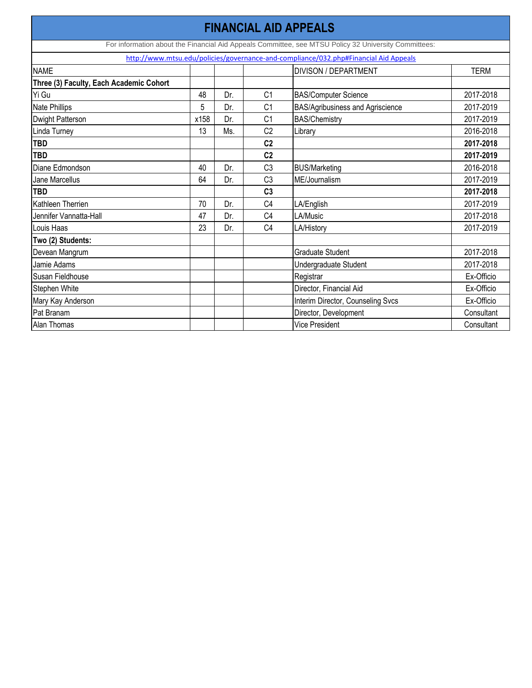| <b>FINANCIAL AID APPEALS</b>                                                         |      |     |                |                                                                                                      |             |  |  |  |
|--------------------------------------------------------------------------------------|------|-----|----------------|------------------------------------------------------------------------------------------------------|-------------|--|--|--|
|                                                                                      |      |     |                | For information about the Financial Aid Appeals Committee, see MTSU Policy 32 University Committees: |             |  |  |  |
| http://www.mtsu.edu/policies/governance-and-compliance/032.php#Financial Aid Appeals |      |     |                |                                                                                                      |             |  |  |  |
| <b>NAME</b>                                                                          |      |     |                | <b>DIVISON / DEPARTMENT</b>                                                                          | <b>TERM</b> |  |  |  |
| Three (3) Faculty, Each Academic Cohort                                              |      |     |                |                                                                                                      |             |  |  |  |
| Yi Gu                                                                                | 48   | Dr. | C <sub>1</sub> | <b>BAS/Computer Science</b>                                                                          | 2017-2018   |  |  |  |
| Nate Phillips                                                                        | 5    | Dr. | C <sub>1</sub> | BAS/Agribusiness and Agriscience                                                                     | 2017-2019   |  |  |  |
| <b>Dwight Patterson</b>                                                              | x158 | Dr. | C <sub>1</sub> | <b>BAS/Chemistry</b>                                                                                 | 2017-2019   |  |  |  |
| Linda Turney                                                                         | 13   | Ms. | C <sub>2</sub> | Library                                                                                              | 2016-2018   |  |  |  |
| <b>TBD</b>                                                                           |      |     | C <sub>2</sub> |                                                                                                      | 2017-2018   |  |  |  |
| <b>TBD</b>                                                                           |      |     | C <sub>2</sub> |                                                                                                      | 2017-2019   |  |  |  |
| Diane Edmondson                                                                      | 40   | Dr. | C <sub>3</sub> | <b>BUS/Marketing</b>                                                                                 | 2016-2018   |  |  |  |
| Jane Marcellus                                                                       | 64   | Dr. | C <sub>3</sub> | ME/Journalism                                                                                        | 2017-2019   |  |  |  |
| <b>TBD</b>                                                                           |      |     | C <sub>3</sub> |                                                                                                      | 2017-2018   |  |  |  |
| Kathleen Therrien                                                                    | 70   | Dr. | C <sub>4</sub> | LA/English                                                                                           | 2017-2019   |  |  |  |
| Jennifer Vannatta-Hall                                                               | 47   | Dr. | C <sub>4</sub> | LA/Music                                                                                             | 2017-2018   |  |  |  |
| Louis Haas                                                                           | 23   | Dr. | C <sub>4</sub> | LA/History                                                                                           | 2017-2019   |  |  |  |
| Two (2) Students:                                                                    |      |     |                |                                                                                                      |             |  |  |  |
| Devean Mangrum                                                                       |      |     |                | Graduate Student                                                                                     | 2017-2018   |  |  |  |
| Jamie Adams                                                                          |      |     |                | Undergraduate Student                                                                                | 2017-2018   |  |  |  |
| Susan Fieldhouse                                                                     |      |     |                | Registrar                                                                                            | Ex-Officio  |  |  |  |
| Stephen White                                                                        |      |     |                | Director, Financial Aid                                                                              | Ex-Officio  |  |  |  |
| Mary Kay Anderson                                                                    |      |     |                | Interim Director, Counseling Svcs                                                                    | Ex-Officio  |  |  |  |
| Pat Branam                                                                           |      |     |                | Director, Development                                                                                | Consultant  |  |  |  |
| <b>Alan Thomas</b>                                                                   |      |     |                | <b>Vice President</b>                                                                                | Consultant  |  |  |  |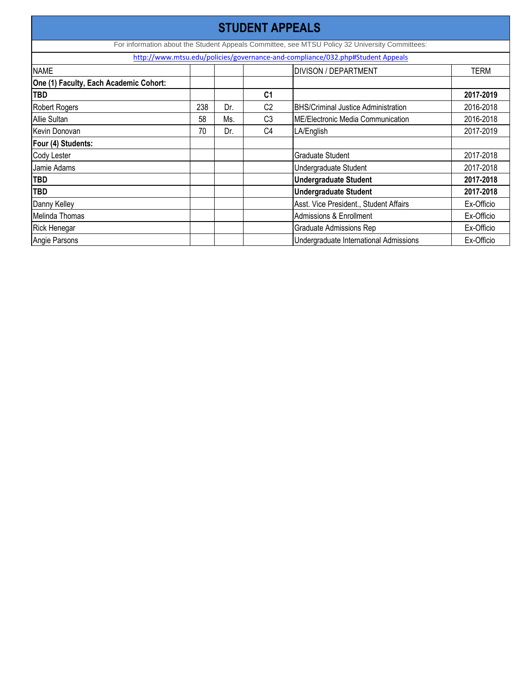| <b>STUDENT APPEALS</b>                 |                                     |     |                |                                                                                                |            |  |  |
|----------------------------------------|-------------------------------------|-----|----------------|------------------------------------------------------------------------------------------------|------------|--|--|
|                                        |                                     |     |                | For information about the Student Appeals Committee, see MTSU Policy 32 University Committees: |            |  |  |
|                                        |                                     |     |                | http://www.mtsu.edu/policies/governance-and-compliance/032.php#Student Appeals                 |            |  |  |
| <b>NAME</b>                            | <b>DIVISON / DEPARTMENT</b><br>TERM |     |                |                                                                                                |            |  |  |
| One (1) Faculty, Each Academic Cohort: |                                     |     |                |                                                                                                |            |  |  |
| <b>TBD</b>                             |                                     |     | C <sub>1</sub> |                                                                                                | 2017-2019  |  |  |
| <b>Robert Rogers</b>                   | 238                                 | Dr. | C <sub>2</sub> | <b>BHS/Criminal Justice Administration</b>                                                     | 2016-2018  |  |  |
| <b>Allie Sultan</b>                    | 58                                  | Ms. | C <sub>3</sub> | <b>ME/Electronic Media Communication</b>                                                       | 2016-2018  |  |  |
| Kevin Donovan                          | 70                                  | Dr. | C <sub>4</sub> | LA/English                                                                                     | 2017-2019  |  |  |
| Four (4) Students:                     |                                     |     |                |                                                                                                |            |  |  |
| <b>Cody Lester</b>                     |                                     |     |                | <b>Graduate Student</b>                                                                        | 2017-2018  |  |  |
| Jamie Adams                            |                                     |     |                | Undergraduate Student                                                                          | 2017-2018  |  |  |
| <b>TBD</b>                             |                                     |     |                | <b>Undergraduate Student</b>                                                                   | 2017-2018  |  |  |
| <b>TBD</b>                             |                                     |     |                | <b>Undergraduate Student</b>                                                                   | 2017-2018  |  |  |
| Danny Kelley                           |                                     |     |                | Asst. Vice President., Student Affairs                                                         | Ex-Officio |  |  |
| Melinda Thomas                         |                                     |     |                | <b>Admissions &amp; Enrollment</b>                                                             | Ex-Officio |  |  |
| <b>Rick Henegar</b>                    |                                     |     |                | <b>Graduate Admissions Rep</b>                                                                 | Ex-Officio |  |  |
| Angie Parsons                          |                                     |     |                | Undergraduate International Admissions                                                         | Ex-Officio |  |  |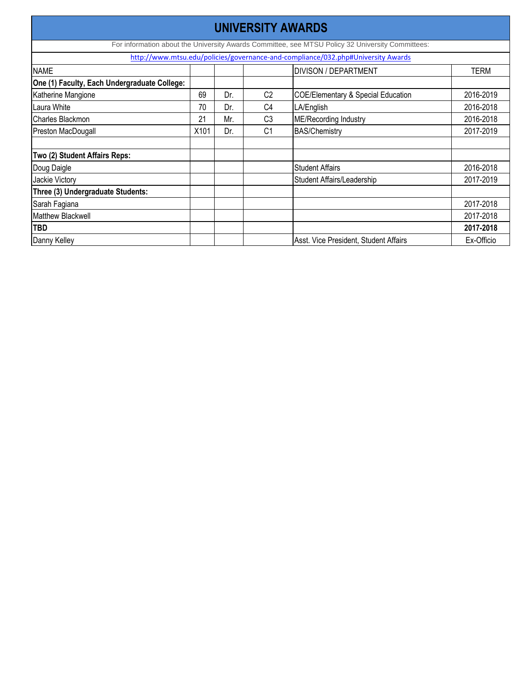| UNIVERSITY AWARDS                            |      |     |                |                                                                                                  |             |  |  |
|----------------------------------------------|------|-----|----------------|--------------------------------------------------------------------------------------------------|-------------|--|--|
|                                              |      |     |                | For information about the University Awards Committee, see MTSU Policy 32 University Committees: |             |  |  |
|                                              |      |     |                | http://www.mtsu.edu/policies/governance-and-compliance/032.php#University Awards                 |             |  |  |
| <b>NAME</b>                                  |      |     |                | <b>DIVISON / DEPARTMENT</b>                                                                      | <b>TERM</b> |  |  |
| One (1) Faculty, Each Undergraduate College: |      |     |                |                                                                                                  |             |  |  |
| Katherine Mangione                           | 69   | Dr. | C <sub>2</sub> | <b>COE/Elementary &amp; Special Education</b>                                                    | 2016-2019   |  |  |
| Laura White                                  | 70   | Dr. | C <sub>4</sub> | LA/English                                                                                       | 2016-2018   |  |  |
| <b>Charles Blackmon</b>                      | 21   | Mr. | C <sub>3</sub> | <b>ME/Recording Industry</b>                                                                     | 2016-2018   |  |  |
| <b>Preston MacDougall</b>                    | X101 | Dr. | C <sub>1</sub> | <b>BAS/Chemistry</b>                                                                             | 2017-2019   |  |  |
|                                              |      |     |                |                                                                                                  |             |  |  |
| Two (2) Student Affairs Reps:                |      |     |                |                                                                                                  |             |  |  |
| Doug Daigle                                  |      |     |                | <b>Student Affairs</b>                                                                           | 2016-2018   |  |  |
| Jackie Victory                               |      |     |                | Student Affairs/Leadership                                                                       | 2017-2019   |  |  |
| Three (3) Undergraduate Students:            |      |     |                |                                                                                                  |             |  |  |
| Sarah Fagiana                                |      |     |                |                                                                                                  | 2017-2018   |  |  |
| <b>Matthew Blackwell</b>                     |      |     |                |                                                                                                  | 2017-2018   |  |  |
| <b>TBD</b>                                   |      |     |                |                                                                                                  | 2017-2018   |  |  |
| Danny Kelley                                 |      |     |                | Asst. Vice President, Student Affairs                                                            | Ex-Officio  |  |  |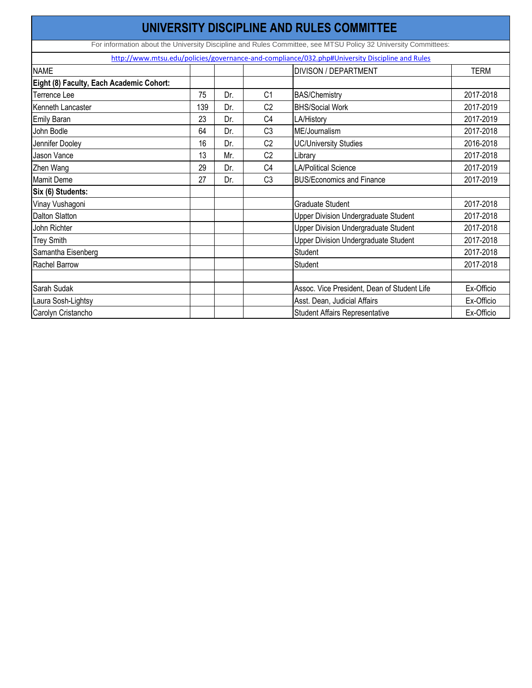|                                          |                                            |     |                | UNIVERSITY DISCIPLINE AND RULES COMMITTEE                                                                      |            |  |  |
|------------------------------------------|--------------------------------------------|-----|----------------|----------------------------------------------------------------------------------------------------------------|------------|--|--|
|                                          |                                            |     |                | For information about the University Discipline and Rules Committee, see MTSU Policy 32 University Committees: |            |  |  |
|                                          |                                            |     |                | http://www.mtsu.edu/policies/governance-and-compliance/032.php#University Discipline and Rules                 |            |  |  |
| <b>NAME</b>                              | <b>DIVISON / DEPARTMENT</b><br><b>TERM</b> |     |                |                                                                                                                |            |  |  |
| Eight (8) Faculty, Each Academic Cohort: |                                            |     |                |                                                                                                                |            |  |  |
| <b>Terrence Lee</b>                      | 75                                         | Dr. | C <sub>1</sub> | <b>BAS/Chemistry</b>                                                                                           | 2017-2018  |  |  |
| Kenneth Lancaster                        | 139                                        | Dr. | C <sub>2</sub> | <b>BHS/Social Work</b>                                                                                         | 2017-2019  |  |  |
| <b>Emily Baran</b>                       | 23                                         | Dr. | C <sub>4</sub> | LA/History                                                                                                     | 2017-2019  |  |  |
| John Bodle                               | 64                                         | Dr. | C <sub>3</sub> | ME/Journalism                                                                                                  | 2017-2018  |  |  |
| Jennifer Dooley                          | 16                                         | Dr. | C <sub>2</sub> | <b>UC/University Studies</b>                                                                                   | 2016-2018  |  |  |
| <b>Jason Vance</b>                       | 13                                         | Mr. | C <sub>2</sub> | Library                                                                                                        | 2017-2018  |  |  |
| Zhen Wang                                | 29                                         | Dr. | C <sub>4</sub> | <b>LA/Political Science</b>                                                                                    | 2017-2019  |  |  |
| <b>Mamit Deme</b>                        | 27                                         | Dr. | C <sub>3</sub> | <b>BUS/Economics and Finance</b>                                                                               | 2017-2019  |  |  |
| Six (6) Students:                        |                                            |     |                |                                                                                                                |            |  |  |
| Vinay Vushagoni                          |                                            |     |                | <b>Graduate Student</b>                                                                                        | 2017-2018  |  |  |
| <b>Dalton Slatton</b>                    |                                            |     |                | <b>Upper Division Undergraduate Student</b>                                                                    | 2017-2018  |  |  |
| John Richter                             |                                            |     |                | <b>Upper Division Undergraduate Student</b>                                                                    | 2017-2018  |  |  |
| <b>Trey Smith</b>                        |                                            |     |                | <b>Upper Division Undergraduate Student</b>                                                                    | 2017-2018  |  |  |
| Samantha Eisenberg                       |                                            |     |                | <b>Student</b>                                                                                                 | 2017-2018  |  |  |
| <b>Rachel Barrow</b>                     |                                            |     |                | <b>Student</b>                                                                                                 | 2017-2018  |  |  |
| Sarah Sudak                              |                                            |     |                | Assoc. Vice President, Dean of Student Life                                                                    | Ex-Officio |  |  |
| Laura Sosh-Lightsy                       |                                            |     |                | Asst. Dean, Judicial Affairs                                                                                   | Ex-Officio |  |  |
| Carolyn Cristancho                       |                                            |     |                | <b>Student Affairs Representative</b>                                                                          | Ex-Officio |  |  |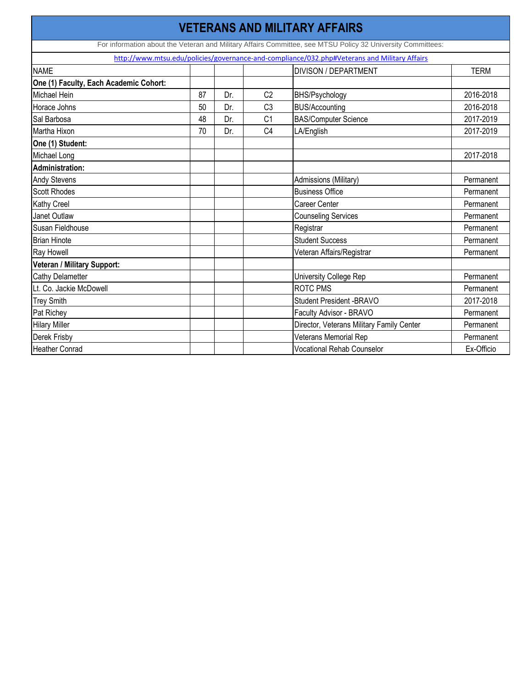|                                                                                              |    |     |                | <b>VETERANS AND MILITARY AFFAIRS</b>                                                                        |             |  |  |  |  |
|----------------------------------------------------------------------------------------------|----|-----|----------------|-------------------------------------------------------------------------------------------------------------|-------------|--|--|--|--|
|                                                                                              |    |     |                | For information about the Veteran and Military Affairs Committee, see MTSU Policy 32 University Committees: |             |  |  |  |  |
| http://www.mtsu.edu/policies/governance-and-compliance/032.php#Veterans and Military Affairs |    |     |                |                                                                                                             |             |  |  |  |  |
| <b>NAME</b>                                                                                  |    |     |                | <b>DIVISON / DEPARTMENT</b>                                                                                 | <b>TERM</b> |  |  |  |  |
| One (1) Faculty, Each Academic Cohort:                                                       |    |     |                |                                                                                                             |             |  |  |  |  |
| Michael Hein                                                                                 | 87 | Dr. | C <sub>2</sub> | <b>BHS/Psychology</b>                                                                                       | 2016-2018   |  |  |  |  |
| Horace Johns                                                                                 | 50 | Dr. | C <sub>3</sub> | <b>BUS/Accounting</b>                                                                                       | 2016-2018   |  |  |  |  |
| Sal Barbosa                                                                                  | 48 | Dr. | C <sub>1</sub> | <b>BAS/Computer Science</b>                                                                                 | 2017-2019   |  |  |  |  |
| Martha Hixon                                                                                 | 70 | Dr. | C <sub>4</sub> | LA/English                                                                                                  | 2017-2019   |  |  |  |  |
| One (1) Student:                                                                             |    |     |                |                                                                                                             |             |  |  |  |  |
| Michael Long                                                                                 |    |     |                |                                                                                                             | 2017-2018   |  |  |  |  |
| <b>Administration:</b>                                                                       |    |     |                |                                                                                                             |             |  |  |  |  |
| <b>Andy Stevens</b>                                                                          |    |     |                | Admissions (Military)                                                                                       | Permanent   |  |  |  |  |
| <b>Scott Rhodes</b>                                                                          |    |     |                | <b>Business Office</b>                                                                                      | Permanent   |  |  |  |  |
| <b>Kathy Creel</b>                                                                           |    |     |                | <b>Career Center</b>                                                                                        | Permanent   |  |  |  |  |
| <b>Janet Outlaw</b>                                                                          |    |     |                | <b>Counseling Services</b>                                                                                  | Permanent   |  |  |  |  |
| Susan Fieldhouse                                                                             |    |     |                | Registrar                                                                                                   | Permanent   |  |  |  |  |
| <b>Brian Hinote</b>                                                                          |    |     |                | <b>Student Success</b>                                                                                      | Permanent   |  |  |  |  |
| Ray Howell                                                                                   |    |     |                | Veteran Affairs/Registrar                                                                                   | Permanent   |  |  |  |  |
| Veteran / Military Support:                                                                  |    |     |                |                                                                                                             |             |  |  |  |  |
| <b>Cathy Delametter</b>                                                                      |    |     |                | <b>University College Rep</b>                                                                               | Permanent   |  |  |  |  |
| Lt. Co. Jackie McDowell                                                                      |    |     |                | <b>ROTC PMS</b>                                                                                             | Permanent   |  |  |  |  |
| <b>Trey Smith</b>                                                                            |    |     |                | <b>Student President -BRAVO</b>                                                                             | 2017-2018   |  |  |  |  |
| Pat Richey                                                                                   |    |     |                | Faculty Advisor - BRAVO                                                                                     | Permanent   |  |  |  |  |
| <b>Hilary Miller</b>                                                                         |    |     |                | Director, Veterans Military Family Center                                                                   | Permanent   |  |  |  |  |
| Derek Frisby                                                                                 |    |     |                | <b>Veterans Memorial Rep</b>                                                                                | Permanent   |  |  |  |  |
| <b>Heather Conrad</b>                                                                        |    |     |                | <b>Vocational Rehab Counselor</b>                                                                           | Ex-Officio  |  |  |  |  |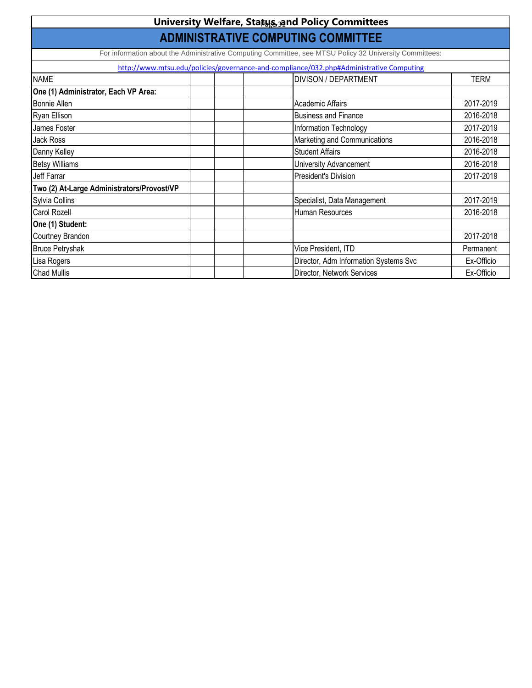|                                                                                                         | <b>University Welfare, Status, 39nd Policy Committees</b>                               |             |  |  |  |  |
|---------------------------------------------------------------------------------------------------------|-----------------------------------------------------------------------------------------|-------------|--|--|--|--|
| <b>ADMINISTRATIVE COMPUTING COMMITTEE</b>                                                               |                                                                                         |             |  |  |  |  |
| For information about the Administrative Computing Committee, see MTSU Policy 32 University Committees: |                                                                                         |             |  |  |  |  |
|                                                                                                         | http://www.mtsu.edu/policies/governance-and-compliance/032.php#Administrative Computing |             |  |  |  |  |
| <b>NAME</b>                                                                                             | <b>DIVISON / DEPARTMENT</b>                                                             | <b>TERM</b> |  |  |  |  |
| One (1) Administrator, Each VP Area:                                                                    |                                                                                         |             |  |  |  |  |
| <b>Bonnie Allen</b>                                                                                     | <b>Academic Affairs</b>                                                                 | 2017-2019   |  |  |  |  |
| Ryan Ellison                                                                                            | <b>Business and Finance</b>                                                             | 2016-2018   |  |  |  |  |
| James Foster                                                                                            | Information Technology                                                                  | 2017-2019   |  |  |  |  |
| <b>Jack Ross</b>                                                                                        | Marketing and Communications                                                            | 2016-2018   |  |  |  |  |
| Danny Kelley                                                                                            | <b>Student Affairs</b>                                                                  | 2016-2018   |  |  |  |  |
| <b>Betsy Williams</b>                                                                                   | <b>University Advancement</b>                                                           | 2016-2018   |  |  |  |  |
| Jeff Farrar                                                                                             | <b>President's Division</b>                                                             | 2017-2019   |  |  |  |  |
| Two (2) At-Large Administrators/Provost/VP                                                              |                                                                                         |             |  |  |  |  |
| Sylvia Collins                                                                                          | Specialist, Data Management                                                             | 2017-2019   |  |  |  |  |
| <b>Carol Rozell</b>                                                                                     | Human Resources                                                                         | 2016-2018   |  |  |  |  |
| One (1) Student:                                                                                        |                                                                                         |             |  |  |  |  |
| Courtney Brandon                                                                                        |                                                                                         | 2017-2018   |  |  |  |  |
| <b>Bruce Petryshak</b>                                                                                  | Vice President, ITD                                                                     | Permanent   |  |  |  |  |
| Lisa Rogers                                                                                             | Director, Adm Information Systems Svc                                                   | Ex-Officio  |  |  |  |  |
| <b>Chad Mullis</b>                                                                                      | Director, Network Services                                                              | Ex-Officio  |  |  |  |  |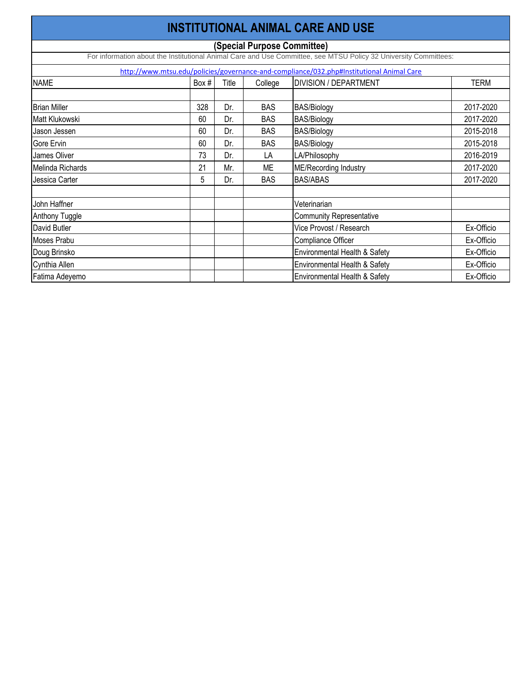|                       |       |       |                             | <b>INSTITUTIONAL ANIMAL CARE AND USE</b>                                                                         |             |
|-----------------------|-------|-------|-----------------------------|------------------------------------------------------------------------------------------------------------------|-------------|
|                       |       |       | (Special Purpose Committee) |                                                                                                                  |             |
|                       |       |       |                             | For information about the Institutional Animal Care and Use Committee, see MTSU Policy 32 University Committees: |             |
|                       |       |       |                             | http://www.mtsu.edu/policies/governance-and-compliance/032.php#Institutional Animal Care                         |             |
| <b>NAME</b>           | Box # | Title | College                     | <b>DIVISION / DEPARTMENT</b>                                                                                     | <b>TERM</b> |
| <b>Brian Miller</b>   | 328   | Dr.   | <b>BAS</b>                  | <b>BAS/Biology</b>                                                                                               | 2017-2020   |
| Matt Klukowski        | 60    | Dr.   | <b>BAS</b>                  | <b>BAS/Biology</b>                                                                                               | 2017-2020   |
| Jason Jessen          | 60    | Dr.   | <b>BAS</b>                  | <b>BAS/Biology</b>                                                                                               | 2015-2018   |
| Gore Ervin            | 60    | Dr.   | <b>BAS</b>                  | <b>BAS/Biology</b>                                                                                               | 2015-2018   |
| James Oliver          | 73    | Dr.   | LA                          | LA/Philosophy                                                                                                    | 2016-2019   |
| Melinda Richards      | 21    | Mr.   | ME                          | <b>ME/Recording Industry</b>                                                                                     | 2017-2020   |
| Jessica Carter        | 5     | Dr.   | <b>BAS</b>                  | <b>BAS/ABAS</b>                                                                                                  | 2017-2020   |
| John Haffner          |       |       |                             | Veterinarian                                                                                                     |             |
| <b>Anthony Tuggle</b> |       |       |                             | <b>Community Representative</b>                                                                                  |             |
| David Butler          |       |       |                             | Vice Provost / Research                                                                                          | Ex-Officio  |
| <b>Moses Prabu</b>    |       |       |                             | <b>Compliance Officer</b>                                                                                        | Ex-Officio  |
| Doug Brinsko          |       |       |                             | Environmental Health & Safety                                                                                    | Ex-Officio  |
| Cynthia Allen         |       |       |                             | Environmental Health & Safety                                                                                    | Ex-Officio  |
| Fatima Adeyemo        |       |       |                             | Environmental Health & Safety                                                                                    | Ex-Officio  |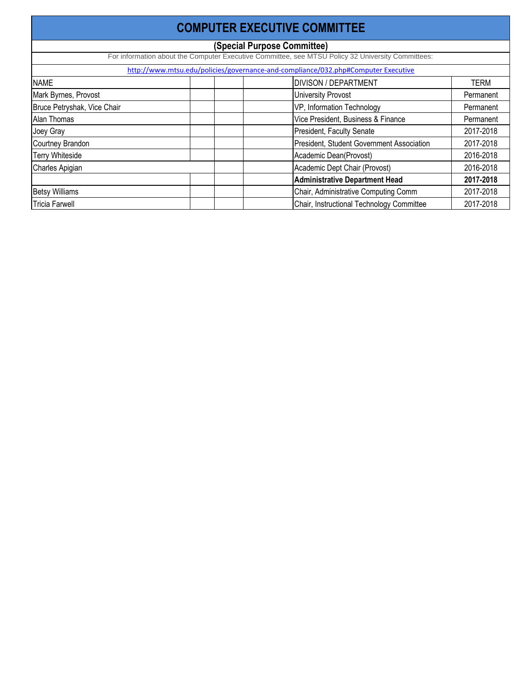| <b>COMPUTER EXECUTIVE COMMITTEE</b> |  |                                                                                                   |             |  |  |
|-------------------------------------|--|---------------------------------------------------------------------------------------------------|-------------|--|--|
|                                     |  | (Special Purpose Committee)                                                                       |             |  |  |
|                                     |  | For information about the Computer Executive Committee, see MTSU Policy 32 University Committees: |             |  |  |
|                                     |  | http://www.mtsu.edu/policies/governance-and-compliance/032.php#Computer Executive                 |             |  |  |
| <b>NAME</b>                         |  | <b>DIVISON / DEPARTMENT</b>                                                                       | <b>TERM</b> |  |  |
| Mark Byrnes, Provost                |  | <b>University Provost</b>                                                                         | Permanent   |  |  |
| Bruce Petryshak, Vice Chair         |  | VP, Information Technology                                                                        | Permanent   |  |  |
| Alan Thomas                         |  | Vice President, Business & Finance                                                                | Permanent   |  |  |
| Joey Gray                           |  | President, Faculty Senate                                                                         | 2017-2018   |  |  |
| Courtney Brandon                    |  | President, Student Government Association                                                         | 2017-2018   |  |  |
| <b>Terry Whiteside</b>              |  | Academic Dean(Provost)                                                                            | 2016-2018   |  |  |
| Charles Apigian                     |  | Academic Dept Chair (Provost)                                                                     | 2016-2018   |  |  |
|                                     |  | <b>Administrative Department Head</b>                                                             | 2017-2018   |  |  |
| <b>Betsy Williams</b>               |  | Chair, Administrative Computing Comm                                                              | 2017-2018   |  |  |
| <b>Tricia Farwell</b>               |  | Chair, Instructional Technology Committee                                                         | 2017-2018   |  |  |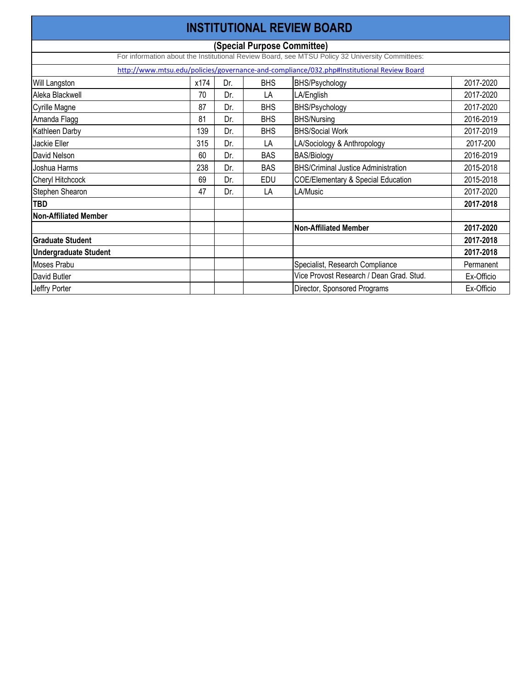| <b>INSTITUTIONAL REVIEW BOARD</b> |      |     |            |                                                                                                 |            |  |  |
|-----------------------------------|------|-----|------------|-------------------------------------------------------------------------------------------------|------------|--|--|
|                                   |      |     |            | (Special Purpose Committee)                                                                     |            |  |  |
|                                   |      |     |            | For information about the Institutional Review Board, see MTSU Policy 32 University Committees: |            |  |  |
|                                   |      |     |            | http://www.mtsu.edu/policies/governance-and-compliance/032.php#Institutional Review Board       |            |  |  |
| <b>Will Langston</b>              | x174 | Dr. | <b>BHS</b> | BHS/Psychology                                                                                  | 2017-2020  |  |  |
| Aleka Blackwell                   | 70   | Dr. | LA         | LA/English                                                                                      | 2017-2020  |  |  |
| Cyrille Magne                     | 87   | Dr. | <b>BHS</b> | BHS/Psychology                                                                                  | 2017-2020  |  |  |
| Amanda Flagg                      | 81   | Dr. | <b>BHS</b> | <b>BHS/Nursing</b>                                                                              | 2016-2019  |  |  |
| <b>Kathleen Darby</b>             | 139  | Dr. | <b>BHS</b> | <b>BHS/Social Work</b>                                                                          | 2017-2019  |  |  |
| <b>Jackie Eller</b>               | 315  | Dr. | LA         | LA/Sociology & Anthropology                                                                     | 2017-200   |  |  |
| David Nelson                      | 60   | Dr. | <b>BAS</b> | <b>BAS/Biology</b>                                                                              | 2016-2019  |  |  |
| Joshua Harms                      | 238  | Dr. | <b>BAS</b> | <b>BHS/Criminal Justice Administration</b>                                                      | 2015-2018  |  |  |
| <b>Cheryl Hitchcock</b>           | 69   | Dr. | <b>EDU</b> | <b>COE/Elementary &amp; Special Education</b>                                                   | 2015-2018  |  |  |
| Stephen Shearon                   | 47   | Dr. | LA         | LA/Music                                                                                        | 2017-2020  |  |  |
| <b>TBD</b>                        |      |     |            |                                                                                                 | 2017-2018  |  |  |
| Non-Affiliated Member             |      |     |            |                                                                                                 |            |  |  |
|                                   |      |     |            | <b>Non-Affiliated Member</b>                                                                    | 2017-2020  |  |  |
| <b>Graduate Student</b>           |      |     |            |                                                                                                 | 2017-2018  |  |  |
| <b>Undergraduate Student</b>      |      |     |            |                                                                                                 | 2017-2018  |  |  |
| Moses Prabu                       |      |     |            | Specialist, Research Compliance                                                                 | Permanent  |  |  |
| David Butler                      |      |     |            | Vice Provost Research / Dean Grad. Stud.                                                        | Ex-Officio |  |  |
| Jeffry Porter                     |      |     |            | Director, Sponsored Programs                                                                    | Ex-Officio |  |  |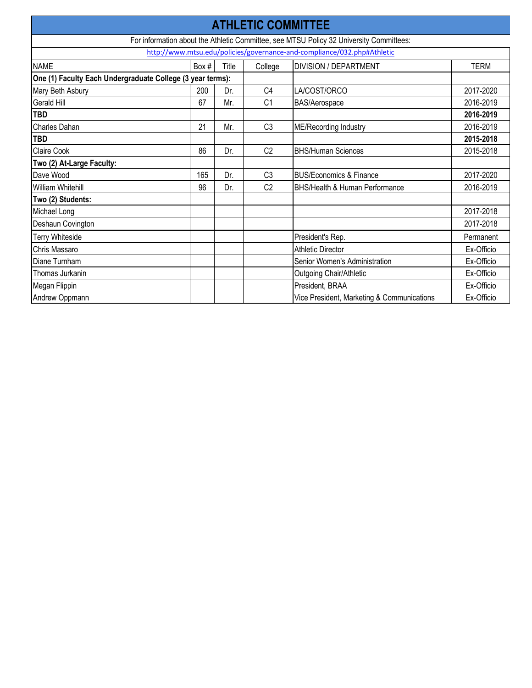| <b>ATHLETIC COMMITTEE</b>                                                               |       |       |                |                                                                         |             |  |  |  |
|-----------------------------------------------------------------------------------------|-------|-------|----------------|-------------------------------------------------------------------------|-------------|--|--|--|
| For information about the Athletic Committee, see MTSU Policy 32 University Committees: |       |       |                |                                                                         |             |  |  |  |
|                                                                                         |       |       |                | http://www.mtsu.edu/policies/governance-and-compliance/032.php#Athletic |             |  |  |  |
| <b>NAME</b>                                                                             | Box # | Title | College        | <b>DIVISION / DEPARTMENT</b>                                            | <b>TERM</b> |  |  |  |
| One (1) Faculty Each Undergraduate College (3 year terms):                              |       |       |                |                                                                         |             |  |  |  |
| Mary Beth Asbury                                                                        | 200   | Dr.   | C <sub>4</sub> | LA/COST/ORCO                                                            | 2017-2020   |  |  |  |
| Gerald Hill                                                                             | 67    | Mr.   | C <sub>1</sub> | BAS/Aerospace                                                           | 2016-2019   |  |  |  |
| <b>TBD</b>                                                                              |       |       |                |                                                                         | 2016-2019   |  |  |  |
| <b>Charles Dahan</b>                                                                    | 21    | Mr.   | C <sub>3</sub> | ME/Recording Industry                                                   | 2016-2019   |  |  |  |
| <b>TBD</b>                                                                              |       |       |                |                                                                         | 2015-2018   |  |  |  |
| <b>Claire Cook</b>                                                                      | 86    | Dr.   | C <sub>2</sub> | <b>BHS/Human Sciences</b>                                               | 2015-2018   |  |  |  |
| Two (2) At-Large Faculty:                                                               |       |       |                |                                                                         |             |  |  |  |
| Dave Wood                                                                               | 165   | Dr.   | C <sub>3</sub> | <b>BUS/Economics &amp; Finance</b>                                      | 2017-2020   |  |  |  |
| <b>William Whitehill</b>                                                                | 96    | Dr.   | C <sub>2</sub> | <b>BHS/Health &amp; Human Performance</b>                               | 2016-2019   |  |  |  |
| Two (2) Students:                                                                       |       |       |                |                                                                         |             |  |  |  |
| Michael Long                                                                            |       |       |                |                                                                         | 2017-2018   |  |  |  |
| Deshaun Covington                                                                       |       |       |                |                                                                         | 2017-2018   |  |  |  |
| <b>Terry Whiteside</b>                                                                  |       |       |                | President's Rep.                                                        | Permanent   |  |  |  |
| <b>Chris Massaro</b>                                                                    |       |       |                | <b>Athletic Director</b>                                                | Ex-Officio  |  |  |  |
| Diane Turnham                                                                           |       |       |                | Senior Women's Administration                                           | Ex-Officio  |  |  |  |
| Thomas Jurkanin                                                                         |       |       |                | Outgoing Chair/Athletic                                                 | Ex-Officio  |  |  |  |
| Megan Flippin                                                                           |       |       |                | President, BRAA                                                         | Ex-Officio  |  |  |  |
| Andrew Oppmann                                                                          |       |       |                | Vice President, Marketing & Communications                              | Ex-Officio  |  |  |  |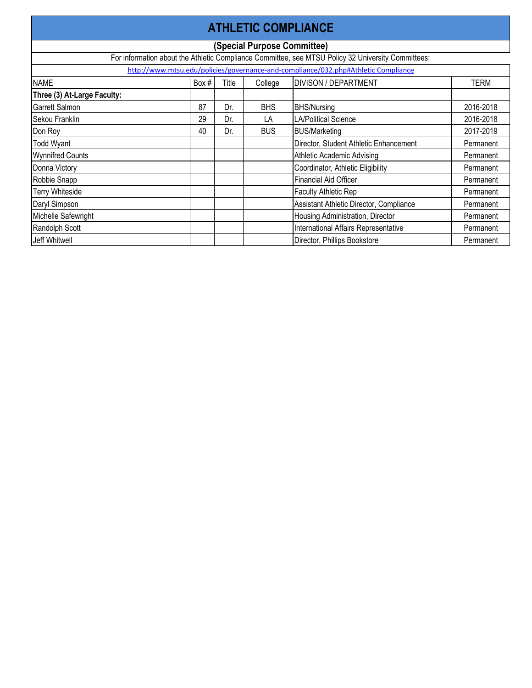| <b>ATHLETIC COMPLIANCE</b>  |       |       |                             |                                                                                                    |             |  |
|-----------------------------|-------|-------|-----------------------------|----------------------------------------------------------------------------------------------------|-------------|--|
|                             |       |       | (Special Purpose Committee) |                                                                                                    |             |  |
|                             |       |       |                             | For information about the Athletic Compliance Committee, see MTSU Policy 32 University Committees: |             |  |
|                             |       |       |                             | http://www.mtsu.edu/policies/governance-and-compliance/032.php#Athletic Compliance                 |             |  |
| <b>NAME</b>                 | Box # | Title | College                     | <b>DIVISON / DEPARTMENT</b>                                                                        | <b>TERM</b> |  |
| Three (3) At-Large Faculty: |       |       |                             |                                                                                                    |             |  |
| <b>Garrett Salmon</b>       | 87    | Dr.   | <b>BHS</b>                  | <b>BHS/Nursing</b>                                                                                 | 2016-2018   |  |
| Sekou Franklin              | 29    | Dr.   | LA                          | <b>LA/Political Science</b>                                                                        | 2016-2018   |  |
| Don Roy                     | 40    | Dr.   | <b>BUS</b>                  | <b>BUS/Marketing</b>                                                                               | 2017-2019   |  |
| <b>Todd Wyant</b>           |       |       |                             | Director, Student Athletic Enhancement                                                             | Permanent   |  |
| <b>Wynnifred Counts</b>     |       |       |                             | <b>Athletic Academic Advising</b>                                                                  | Permanent   |  |
| Donna Victory               |       |       |                             | Coordinator, Athletic Eligibility                                                                  | Permanent   |  |
| Robbie Snapp                |       |       |                             | <b>Financial Aid Officer</b>                                                                       | Permanent   |  |
| <b>Terry Whiteside</b>      |       |       |                             | <b>Faculty Athletic Rep</b>                                                                        | Permanent   |  |
| Daryl Simpson               |       |       |                             | Assistant Athletic Director, Compliance                                                            | Permanent   |  |
| Michelle Safewright         |       |       |                             | Housing Administration, Director                                                                   | Permanent   |  |
| Randolph Scott              |       |       |                             | International Affairs Representative                                                               | Permanent   |  |
| Jeff Whitwell               |       |       |                             | Director, Phillips Bookstore                                                                       | Permanent   |  |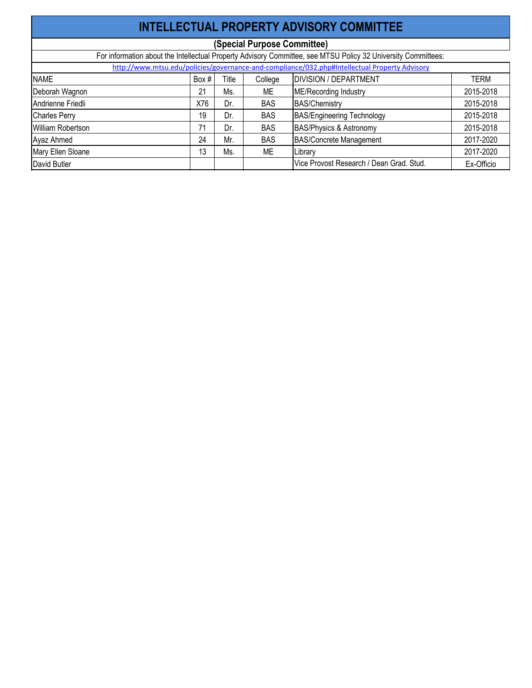| INTELLECTUAL PROPERTY ADVISORY COMMITTEE |       |       |            |                                                                                                               |            |  |  |  |
|------------------------------------------|-------|-------|------------|---------------------------------------------------------------------------------------------------------------|------------|--|--|--|
| (Special Purpose Committee)              |       |       |            |                                                                                                               |            |  |  |  |
|                                          |       |       |            | For information about the Intellectual Property Advisory Committee, see MTSU Policy 32 University Committees: |            |  |  |  |
|                                          |       |       |            | http://www.mtsu.edu/policies/governance-and-compliance/032.php#Intellectual Property Advisory                 |            |  |  |  |
| <b>NAME</b>                              | Box # | Title | College    | <b>DIVISION / DEPARTMENT</b>                                                                                  | TERM       |  |  |  |
| Deborah Wagnon                           | 21    | Ms.   | ME         | <b>ME/Recording Industry</b>                                                                                  | 2015-2018  |  |  |  |
| Andrienne Friedli                        | X76   | Dr.   | <b>BAS</b> | <b>BAS/Chemistry</b>                                                                                          | 2015-2018  |  |  |  |
| Charles Perry                            | 19    | Dr.   | <b>BAS</b> | <b>BAS/Engineering Technology</b>                                                                             | 2015-2018  |  |  |  |
| William Robertson                        | 71    | Dr.   | <b>BAS</b> | <b>BAS/Physics &amp; Astronomy</b>                                                                            | 2015-2018  |  |  |  |
| Ayaz Ahmed                               | 24    | Mr.   | <b>BAS</b> | <b>BAS/Concrete Management</b>                                                                                | 2017-2020  |  |  |  |
| Mary Ellen Sloane                        | 13    | Ms.   | ME         | Library                                                                                                       | 2017-2020  |  |  |  |
| David Butler                             |       |       |            | Vice Provost Research / Dean Grad. Stud.                                                                      | Ex-Officio |  |  |  |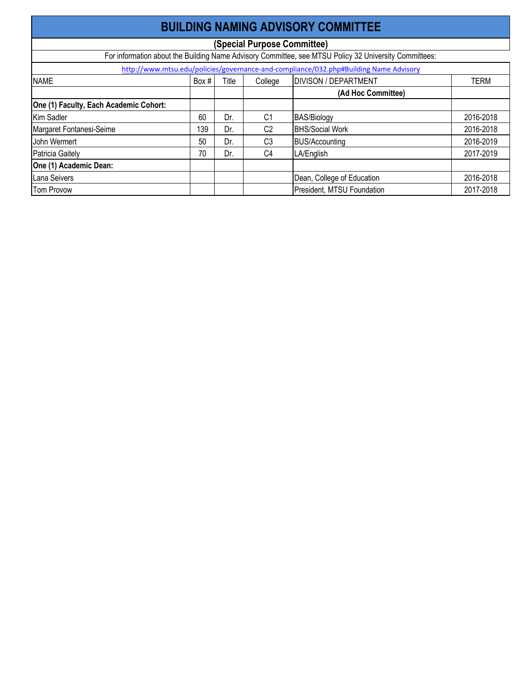| <b>BUILDING NAMING ADVISORY COMMITTEE</b> |                             |       |                |                                                                                                       |             |  |  |  |
|-------------------------------------------|-----------------------------|-------|----------------|-------------------------------------------------------------------------------------------------------|-------------|--|--|--|
|                                           | (Special Purpose Committee) |       |                |                                                                                                       |             |  |  |  |
|                                           |                             |       |                | For information about the Building Name Advisory Committee, see MTSU Policy 32 University Committees: |             |  |  |  |
|                                           |                             |       |                | http://www.mtsu.edu/policies/governance-and-compliance/032.php#Building Name Advisory                 |             |  |  |  |
| <b>NAME</b>                               | Box #                       | Title | College        | <b>DIVISON / DEPARTMENT</b>                                                                           | <b>TERM</b> |  |  |  |
|                                           |                             |       |                | (Ad Hoc Committee)                                                                                    |             |  |  |  |
| One (1) Faculty, Each Academic Cohort:    |                             |       |                |                                                                                                       |             |  |  |  |
| Kim Sadler                                | 60                          | Dr.   | C <sub>1</sub> | <b>BAS/Biology</b>                                                                                    | 2016-2018   |  |  |  |
| Margaret Fontanesi-Seime                  | 139                         | Dr.   | C <sub>2</sub> | <b>BHS/Social Work</b>                                                                                | 2016-2018   |  |  |  |
| John Wermert                              | 50                          | Dr.   | C <sub>3</sub> | <b>BUS/Accounting</b>                                                                                 | 2016-2019   |  |  |  |
| Patricia Gaitely                          | 70                          | Dr.   | C <sub>4</sub> | LA/English                                                                                            | 2017-2019   |  |  |  |
| One (1) Academic Dean:                    |                             |       |                |                                                                                                       |             |  |  |  |
| Lana Seivers                              |                             |       |                | Dean, College of Education                                                                            | 2016-2018   |  |  |  |
| <b>Tom Provow</b>                         |                             |       |                | President, MTSU Foundation                                                                            | 2017-2018   |  |  |  |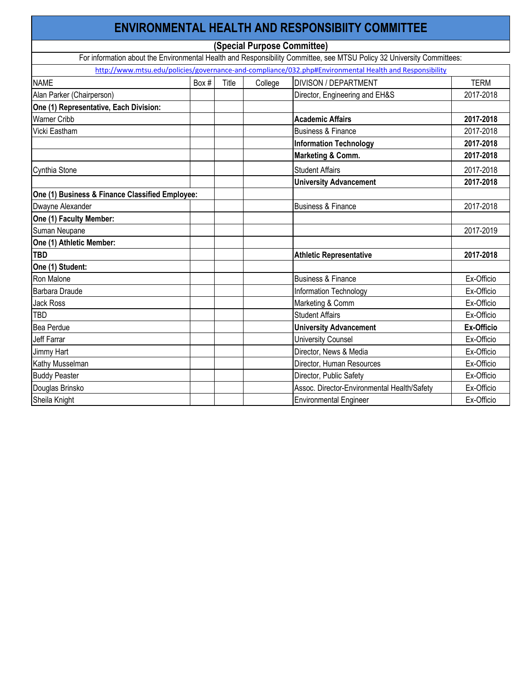| <b>ENVIRONMENTAL HEALTH AND RESPONSIBIITY COMMITTEE</b> |       |       |         |                                                                                                                        |                   |  |  |  |
|---------------------------------------------------------|-------|-------|---------|------------------------------------------------------------------------------------------------------------------------|-------------------|--|--|--|
| (Special Purpose Committee)                             |       |       |         |                                                                                                                        |                   |  |  |  |
|                                                         |       |       |         | For information about the Environmental Health and Responsibility Committee, see MTSU Policy 32 University Committees: |                   |  |  |  |
|                                                         |       |       |         | http://www.mtsu.edu/policies/governance-and-compliance/032.php#Environmental Health and Responsibility                 |                   |  |  |  |
| <b>NAME</b>                                             | Box # | Title | College | <b>DIVISON / DEPARTMENT</b>                                                                                            | <b>TERM</b>       |  |  |  |
| Alan Parker (Chairperson)                               |       |       |         | Director, Engineering and EH&S                                                                                         | 2017-2018         |  |  |  |
| One (1) Representative, Each Division:                  |       |       |         |                                                                                                                        |                   |  |  |  |
| <b>Warner Cribb</b>                                     |       |       |         | <b>Academic Affairs</b>                                                                                                | 2017-2018         |  |  |  |
| <b>Vicki Eastham</b>                                    |       |       |         | <b>Business &amp; Finance</b>                                                                                          | 2017-2018         |  |  |  |
|                                                         |       |       |         | <b>Information Technology</b>                                                                                          | 2017-2018         |  |  |  |
|                                                         |       |       |         | <b>Marketing &amp; Comm.</b>                                                                                           | 2017-2018         |  |  |  |
| Cynthia Stone                                           |       |       |         | <b>Student Affairs</b>                                                                                                 | 2017-2018         |  |  |  |
|                                                         |       |       |         | <b>University Advancement</b>                                                                                          | 2017-2018         |  |  |  |
| One (1) Business & Finance Classified Employee:         |       |       |         |                                                                                                                        |                   |  |  |  |
| Dwayne Alexander                                        |       |       |         | <b>Business &amp; Finance</b>                                                                                          | 2017-2018         |  |  |  |
| One (1) Faculty Member:                                 |       |       |         |                                                                                                                        |                   |  |  |  |
| Suman Neupane                                           |       |       |         |                                                                                                                        | 2017-2019         |  |  |  |
| One (1) Athletic Member:                                |       |       |         |                                                                                                                        |                   |  |  |  |
| <b>TBD</b>                                              |       |       |         | <b>Athletic Representative</b>                                                                                         | 2017-2018         |  |  |  |
| One (1) Student:                                        |       |       |         |                                                                                                                        |                   |  |  |  |
| Ron Malone                                              |       |       |         | <b>Business &amp; Finance</b>                                                                                          | Ex-Officio        |  |  |  |
| Barbara Draude                                          |       |       |         | Information Technology                                                                                                 | Ex-Officio        |  |  |  |
| <b>Jack Ross</b>                                        |       |       |         | Marketing & Comm                                                                                                       | Ex-Officio        |  |  |  |
| <b>TBD</b>                                              |       |       |         | <b>Student Affairs</b>                                                                                                 | Ex-Officio        |  |  |  |
| Bea Perdue                                              |       |       |         | <b>University Advancement</b>                                                                                          | <b>Ex-Officio</b> |  |  |  |
| <b>Jeff Farrar</b>                                      |       |       |         | <b>University Counsel</b>                                                                                              | Ex-Officio        |  |  |  |
| Jimmy Hart                                              |       |       |         | Director, News & Media                                                                                                 | Ex-Officio        |  |  |  |
| <b>Kathy Musselman</b>                                  |       |       |         | Director, Human Resources                                                                                              | Ex-Officio        |  |  |  |
| <b>Buddy Peaster</b>                                    |       |       |         | Director, Public Safety                                                                                                | Ex-Officio        |  |  |  |
| Douglas Brinsko                                         |       |       |         | Assoc. Director-Environmental Health/Safety                                                                            | Ex-Officio        |  |  |  |
| Sheila Knight                                           |       |       |         | <b>Environmental Engineer</b>                                                                                          | Ex-Officio        |  |  |  |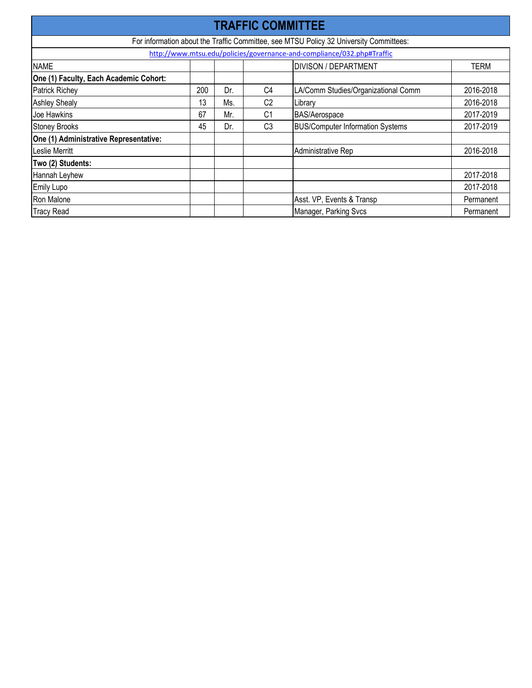| <b>TRAFFIC COMMITTEE</b>               |     |     |                |                                                                                        |             |  |
|----------------------------------------|-----|-----|----------------|----------------------------------------------------------------------------------------|-------------|--|
|                                        |     |     |                | For information about the Traffic Committee, see MTSU Policy 32 University Committees: |             |  |
|                                        |     |     |                | http://www.mtsu.edu/policies/governance-and-compliance/032.php#Traffic                 |             |  |
| <b>NAME</b>                            |     |     |                | <b>DIVISON / DEPARTMENT</b>                                                            | <b>TERM</b> |  |
| One (1) Faculty, Each Academic Cohort: |     |     |                |                                                                                        |             |  |
| <b>Patrick Richey</b>                  | 200 | Dr. | C <sub>4</sub> | LA/Comm Studies/Organizational Comm                                                    | 2016-2018   |  |
| <b>Ashley Shealy</b>                   | 13  | Ms. | C <sub>2</sub> | Library                                                                                | 2016-2018   |  |
| Joe Hawkins                            | 67  | Mr. | C <sub>1</sub> | <b>BAS/Aerospace</b>                                                                   | 2017-2019   |  |
| <b>Stoney Brooks</b>                   | 45  | Dr. | C <sub>3</sub> | <b>BUS/Computer Information Systems</b>                                                | 2017-2019   |  |
| One (1) Administrative Representative: |     |     |                |                                                                                        |             |  |
| Leslie Merritt                         |     |     |                | Administrative Rep                                                                     | 2016-2018   |  |
| Two (2) Students:                      |     |     |                |                                                                                        |             |  |
| Hannah Leyhew                          |     |     |                |                                                                                        | 2017-2018   |  |
| <b>Emily Lupo</b>                      |     |     |                |                                                                                        | 2017-2018   |  |
| Ron Malone                             |     |     |                | Asst. VP, Events & Transp                                                              | Permanent   |  |
| <b>Tracy Read</b>                      |     |     |                | Manager, Parking Svcs                                                                  | Permanent   |  |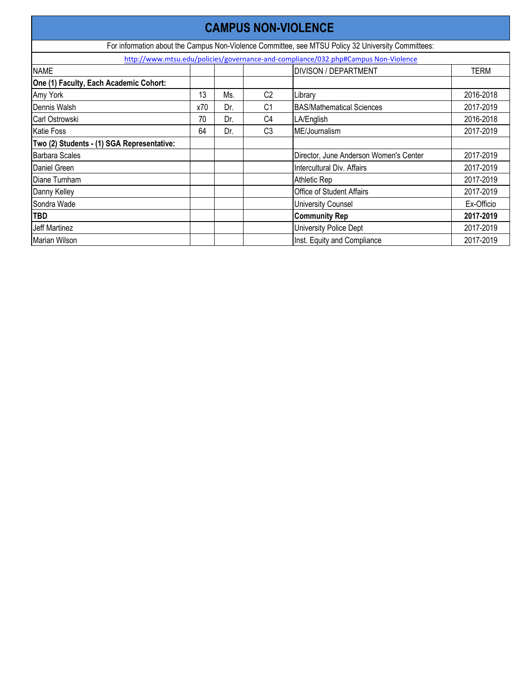| <b>CAMPUS NON-VIOLENCE</b>                 |     |     |                |                                                                                                    |             |  |  |
|--------------------------------------------|-----|-----|----------------|----------------------------------------------------------------------------------------------------|-------------|--|--|
|                                            |     |     |                | For information about the Campus Non-Violence Committee, see MTSU Policy 32 University Committees: |             |  |  |
|                                            |     |     |                | http://www.mtsu.edu/policies/governance-and-compliance/032.php#Campus Non-Violence                 |             |  |  |
| <b>NAME</b>                                |     |     |                | <b>DIVISON / DEPARTMENT</b>                                                                        | <b>TERM</b> |  |  |
| One (1) Faculty, Each Academic Cohort:     |     |     |                |                                                                                                    |             |  |  |
| Amy York                                   | 13  | Ms. | C <sub>2</sub> | Library                                                                                            | 2016-2018   |  |  |
| Dennis Walsh                               | x70 | Dr. | C <sub>1</sub> | <b>BAS/Mathematical Sciences</b>                                                                   | 2017-2019   |  |  |
| Carl Ostrowski                             | 70  | Dr. | C <sub>4</sub> | LA/English                                                                                         | 2016-2018   |  |  |
| <b>Katie Foss</b>                          | 64  | Dr. | C <sub>3</sub> | ME/Journalism                                                                                      | 2017-2019   |  |  |
| Two (2) Students - (1) SGA Representative: |     |     |                |                                                                                                    |             |  |  |
| <b>Barbara Scales</b>                      |     |     |                | Director, June Anderson Women's Center                                                             | 2017-2019   |  |  |
| Daniel Green                               |     |     |                | Intercultural Div. Affairs                                                                         | 2017-2019   |  |  |
| Diane Turnham                              |     |     |                | Athletic Rep                                                                                       | 2017-2019   |  |  |
| Danny Kelley                               |     |     |                | <b>Office of Student Affairs</b>                                                                   | 2017-2019   |  |  |
| Sondra Wade                                |     |     |                | <b>University Counsel</b>                                                                          | Ex-Officio  |  |  |
| <b>TBD</b>                                 |     |     |                | <b>Community Rep</b>                                                                               | 2017-2019   |  |  |
| <b>Jeff Martinez</b>                       |     |     |                | <b>University Police Dept</b>                                                                      | 2017-2019   |  |  |
| <b>Marian Wilson</b>                       |     |     |                | Inst. Equity and Compliance                                                                        | 2017-2019   |  |  |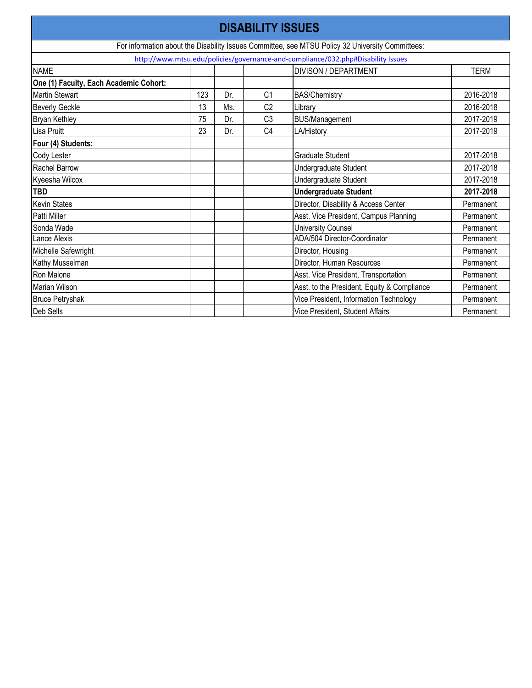| <b>DISABILITY ISSUES</b>               |     |     |                |                                                                                                  |             |  |  |
|----------------------------------------|-----|-----|----------------|--------------------------------------------------------------------------------------------------|-------------|--|--|
|                                        |     |     |                | For information about the Disability Issues Committee, see MTSU Policy 32 University Committees: |             |  |  |
|                                        |     |     |                | http://www.mtsu.edu/policies/governance-and-compliance/032.php#Disability Issues                 |             |  |  |
| <b>NAME</b>                            |     |     |                | <b>DIVISON / DEPARTMENT</b>                                                                      | <b>TERM</b> |  |  |
| One (1) Faculty, Each Academic Cohort: |     |     |                |                                                                                                  |             |  |  |
| <b>Martin Stewart</b>                  | 123 | Dr. | C <sub>1</sub> | <b>BAS/Chemistry</b>                                                                             | 2016-2018   |  |  |
| <b>Beverly Geckle</b>                  | 13  | Ms. | C <sub>2</sub> | Library                                                                                          | 2016-2018   |  |  |
| <b>Bryan Kethley</b>                   | 75  | Dr. | C <sub>3</sub> | <b>BUS/Management</b>                                                                            | 2017-2019   |  |  |
| Lisa Pruitt                            | 23  | Dr. | C <sub>4</sub> | LA/History                                                                                       | 2017-2019   |  |  |
| Four (4) Students:                     |     |     |                |                                                                                                  |             |  |  |
| <b>Cody Lester</b>                     |     |     |                | <b>Graduate Student</b>                                                                          | 2017-2018   |  |  |
| <b>Rachel Barrow</b>                   |     |     |                | <b>Undergraduate Student</b>                                                                     | 2017-2018   |  |  |
| Kyeesha Wilcox                         |     |     |                | Undergraduate Student                                                                            | 2017-2018   |  |  |
| <b>TBD</b>                             |     |     |                | <b>Undergraduate Student</b>                                                                     | 2017-2018   |  |  |
| <b>Kevin States</b>                    |     |     |                | Director, Disability & Access Center                                                             | Permanent   |  |  |
| Patti Miller                           |     |     |                | Asst. Vice President, Campus Planning                                                            | Permanent   |  |  |
| Sonda Wade                             |     |     |                | <b>University Counsel</b>                                                                        | Permanent   |  |  |
| Lance Alexis                           |     |     |                | ADA/504 Director-Coordinator                                                                     | Permanent   |  |  |
| Michelle Safewright                    |     |     |                | Director, Housing                                                                                | Permanent   |  |  |
| Kathy Musselman                        |     |     |                | Director, Human Resources                                                                        | Permanent   |  |  |
| Ron Malone                             |     |     |                | Asst. Vice President, Transportation                                                             | Permanent   |  |  |
| <b>Marian Wilson</b>                   |     |     |                | Asst. to the President, Equity & Compliance                                                      | Permanent   |  |  |
| <b>Bruce Petryshak</b>                 |     |     |                | Vice President, Information Technology                                                           | Permanent   |  |  |
| Deb Sells                              |     |     |                | Vice President, Student Affairs                                                                  | Permanent   |  |  |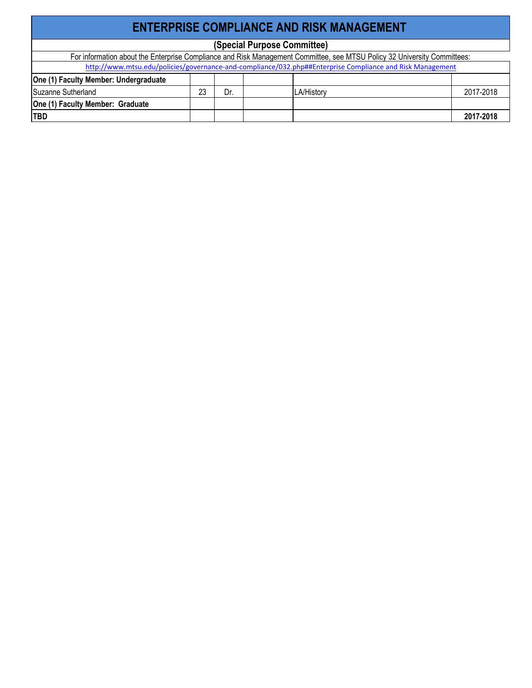| <b>ENTERPRISE COMPLIANCE AND RISK MANAGEMENT</b>                                                                         |    |     |  |                   |           |  |  |
|--------------------------------------------------------------------------------------------------------------------------|----|-----|--|-------------------|-----------|--|--|
| (Special Purpose Committee)                                                                                              |    |     |  |                   |           |  |  |
| For information about the Enterprise Compliance and Risk Management Committee, see MTSU Policy 32 University Committees: |    |     |  |                   |           |  |  |
| http://www.mtsu.edu/policies/governance-and-compliance/032.php##Enterprise Compliance and Risk Management                |    |     |  |                   |           |  |  |
| One (1) Faculty Member: Undergraduate                                                                                    |    |     |  |                   |           |  |  |
| Suzanne Sutherland                                                                                                       | 23 | Dr. |  | <b>LA/History</b> | 2017-2018 |  |  |
| One (1) Faculty Member: Graduate                                                                                         |    |     |  |                   |           |  |  |
| <b>TBD</b>                                                                                                               |    |     |  |                   | 2017-2018 |  |  |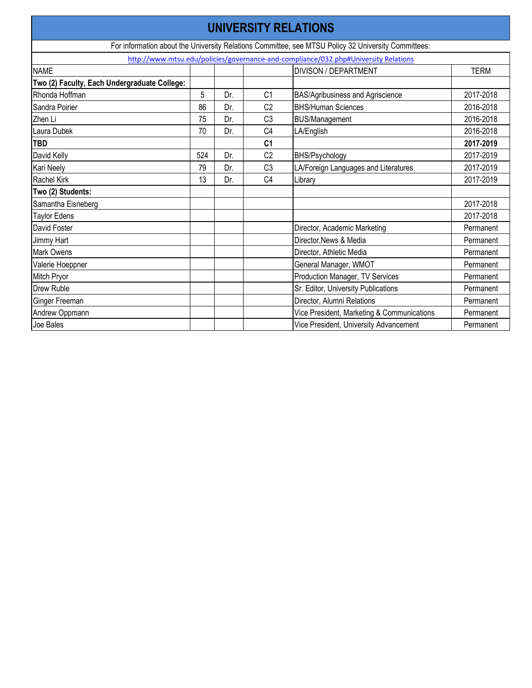| <b>UNIVERSITY RELATIONS</b>                                                                         |     |     |                |                                                                                     |             |  |  |  |
|-----------------------------------------------------------------------------------------------------|-----|-----|----------------|-------------------------------------------------------------------------------------|-------------|--|--|--|
| For information about the University Relations Committee, see MTSU Policy 32 University Committees: |     |     |                |                                                                                     |             |  |  |  |
|                                                                                                     |     |     |                | http://www.mtsu.edu/policies/governance-and-compliance/032.php#University Relations |             |  |  |  |
| <b>NAME</b>                                                                                         |     |     |                | <b>DIVISON / DEPARTMENT</b>                                                         | <b>TERM</b> |  |  |  |
| Two (2) Faculty, Each Undergraduate College:                                                        |     |     |                |                                                                                     |             |  |  |  |
| Rhonda Hoffman                                                                                      | 5   | Dr. | C <sub>1</sub> | <b>BAS/Agribusiness and Agriscience</b>                                             | 2017-2018   |  |  |  |
| Sandra Poirier                                                                                      | 86  | Dr. | C <sub>2</sub> | <b>BHS/Human Sciences</b>                                                           | 2016-2018   |  |  |  |
| Zhen Li                                                                                             | 75  | Dr. | C <sub>3</sub> | <b>BUS/Management</b>                                                               | 2016-2018   |  |  |  |
| Laura Dubek                                                                                         | 70  | Dr. | C <sub>4</sub> | LA/English                                                                          | 2016-2018   |  |  |  |
| <b>TBD</b>                                                                                          |     |     | C <sub>1</sub> |                                                                                     | 2017-2019   |  |  |  |
| David Kelly                                                                                         | 524 | Dr. | C <sub>2</sub> | <b>BHS/Psychology</b>                                                               | 2017-2019   |  |  |  |
| Kari Neely                                                                                          | 79  | Dr. | C <sub>3</sub> | LA/Foreign Languages and Literatures                                                | 2017-2019   |  |  |  |
| <b>Rachel Kirk</b>                                                                                  | 13  | Dr. | C <sub>4</sub> | Library                                                                             | 2017-2019   |  |  |  |
| Two (2) Students:                                                                                   |     |     |                |                                                                                     |             |  |  |  |
| Samantha Eisneberg                                                                                  |     |     |                |                                                                                     | 2017-2018   |  |  |  |
| <b>Taylor Edens</b>                                                                                 |     |     |                |                                                                                     | 2017-2018   |  |  |  |
| David Foster                                                                                        |     |     |                | Director, Academic Marketing                                                        | Permanent   |  |  |  |
| Jimmy Hart                                                                                          |     |     |                | Director, News & Media                                                              | Permanent   |  |  |  |
| <b>Mark Owens</b>                                                                                   |     |     |                | Director, Athletic Media                                                            | Permanent   |  |  |  |
| Valerie Hoeppner                                                                                    |     |     |                | General Manager, WMOT                                                               | Permanent   |  |  |  |
| Mitch Pryor                                                                                         |     |     |                | <b>Production Manager, TV Services</b>                                              | Permanent   |  |  |  |
| <b>Drew Ruble</b>                                                                                   |     |     |                | Sr. Editor, University Publications                                                 | Permanent   |  |  |  |
| Ginger Freeman                                                                                      |     |     |                | Director, Alumni Relations                                                          | Permanent   |  |  |  |
| Andrew Oppmann                                                                                      |     |     |                | Vice President, Marketing & Communications                                          | Permanent   |  |  |  |
| Joe Bales                                                                                           |     |     |                | Vice President, University Advancement                                              | Permanent   |  |  |  |